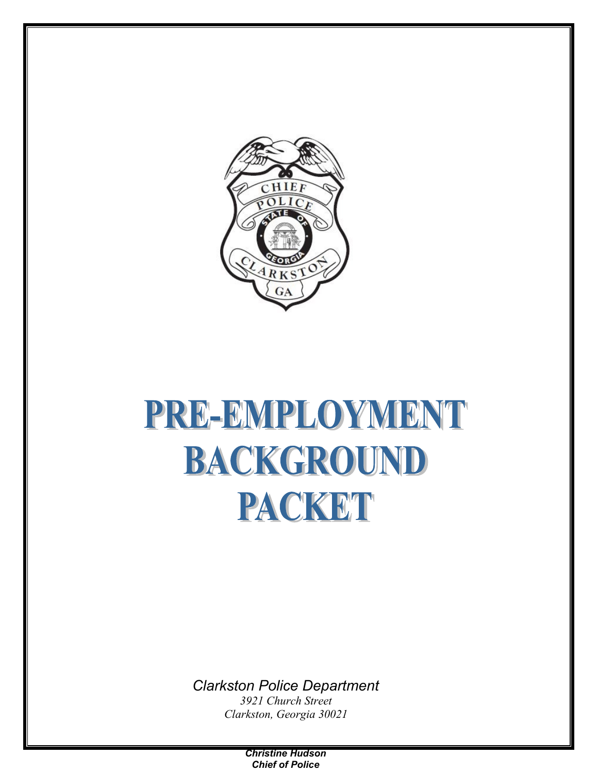

# PRE-EMPLOYMENT BACKGROUND PACKET

*Clarkston Police Department*

*3921 Church Street Clarkston, Georgia 30021*

> *Christine Hudson Chief of Police*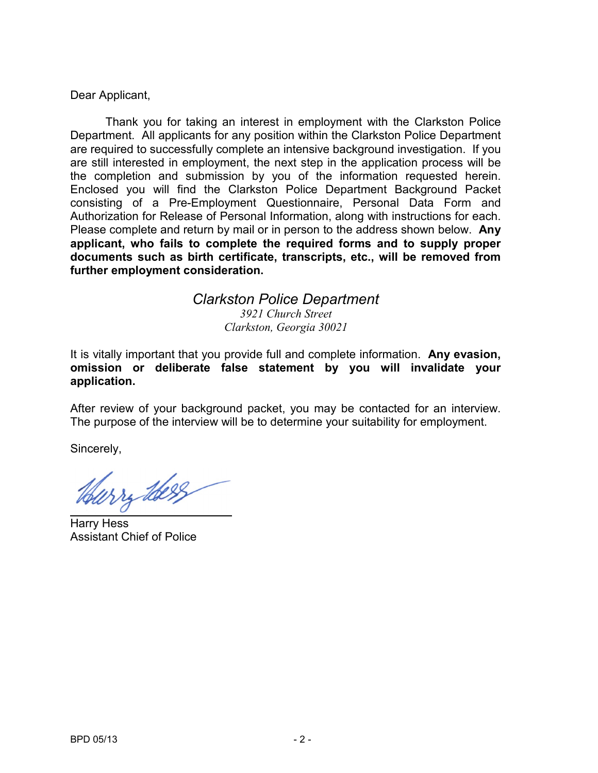Dear Applicant,

Thank you for taking an interest in employment with the Clarkston Police Department. All applicants for any position within the Clarkston Police Department are required to successfully complete an intensive background investigation. If you are still interested in employment, the next step in the application process will be the completion and submission by you of the information requested herein. Enclosed you will find the Clarkston Police Department Background Packet consisting of a Pre-Employment Questionnaire, Personal Data Form and Authorization for Release of Personal Information, along with instructions for each. Please complete and return by mail or in person to the address shown below. **Any applicant, who fails to complete the required forms and to supply proper documents such as birth certificate, transcripts, etc., will be removed from further employment consideration.**

#### *Clarkston Police Department 3921 Church Street Clarkston, Georgia 30021*

It is vitally important that you provide full and complete information. **Any evasion, omission or deliberate false statement by you will invalidate your application.**

After review of your background packet, you may be contacted for an interview. The purpose of the interview will be to determine your suitability for employment.

Sincerely,

wry there

Harry Hess Assistant Chief of Police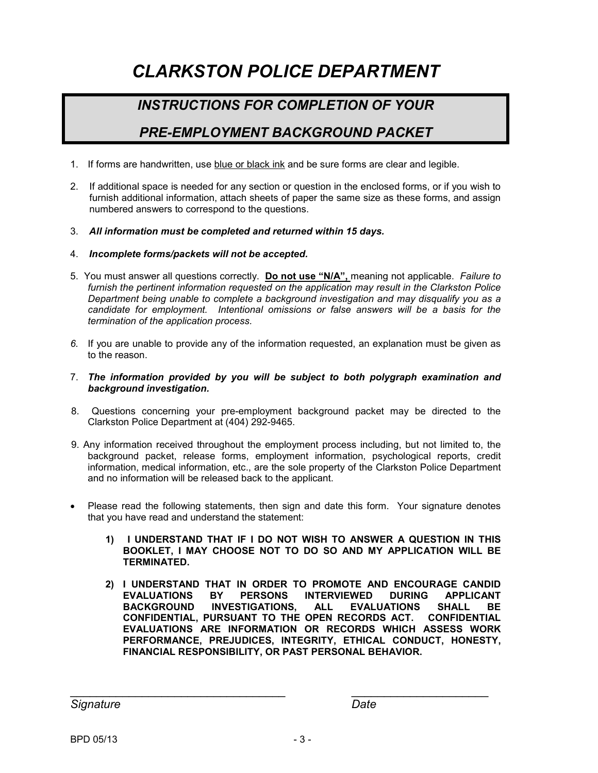# *CLARKSTON POLICE DEPARTMENT*

## *INSTRUCTIONS FOR COMPLETION OF YOUR*

## *PRE-EMPLOYMENT BACKGROUND PACKET*

- 1. If forms are handwritten, use blue or black ink and be sure forms are clear and legible.
- 2. If additional space is needed for any section or question in the enclosed forms, or if you wish to furnish additional information, attach sheets of paper the same size as these forms, and assign numbered answers to correspond to the questions.
- 3. *All information must be completed and returned within 15 days.*
- 4. *Incomplete forms/packets will not be accepted.*
- 5. You must answer all questions correctly. **Do not use "N/A",** meaning not applicable. *Failure to furnish the pertinent information requested on the application may result in the Clarkston Police Department being unable to complete a background investigation and may disqualify you as a candidate for employment. Intentional omissions or false answers will be a basis for the termination of the application process.*
- *6.* If you are unable to provide any of the information requested, an explanation must be given as to the reason.
- 7. *The information provided by you will be subject to both polygraph examination and background investigation.*
- 8. Questions concerning your pre-employment background packet may be directed to the Clarkston Police Department at (404) 292-9465.
- 9. Any information received throughout the employment process including, but not limited to, the background packet, release forms, employment information, psychological reports, credit information, medical information, etc., are the sole property of the Clarkston Police Department and no information will be released back to the applicant.
- Please read the following statements, then sign and date this form. Your signature denotes that you have read and understand the statement:
	- **1) I UNDERSTAND THAT IF I DO NOT WISH TO ANSWER A QUESTION IN THIS BOOKLET, I MAY CHOOSE NOT TO DO SO AND MY APPLICATION WILL BE TERMINATED.**
	- **2) I UNDERSTAND THAT IN ORDER TO PROMOTE AND ENCOURAGE CANDID EVALUATIONS BY PERSONS INTERVIEWED DURING APPLICANT INVESTIGATIONS, CONFIDENTIAL, PURSUANT TO THE OPEN RECORDS ACT. CONFIDENTIAL EVALUATIONS ARE INFORMATION OR RECORDS WHICH ASSESS WORK PERFORMANCE, PREJUDICES, INTEGRITY, ETHICAL CONDUCT, HONESTY, FINANCIAL RESPONSIBILITY, OR PAST PERSONAL BEHAVIOR.**

*Signature Date*

\_\_\_\_\_\_\_\_\_\_\_\_\_\_\_\_\_\_\_\_\_\_\_\_\_\_\_\_\_\_\_\_\_ \_\_\_\_\_\_\_\_\_\_\_\_\_\_\_\_\_\_\_\_\_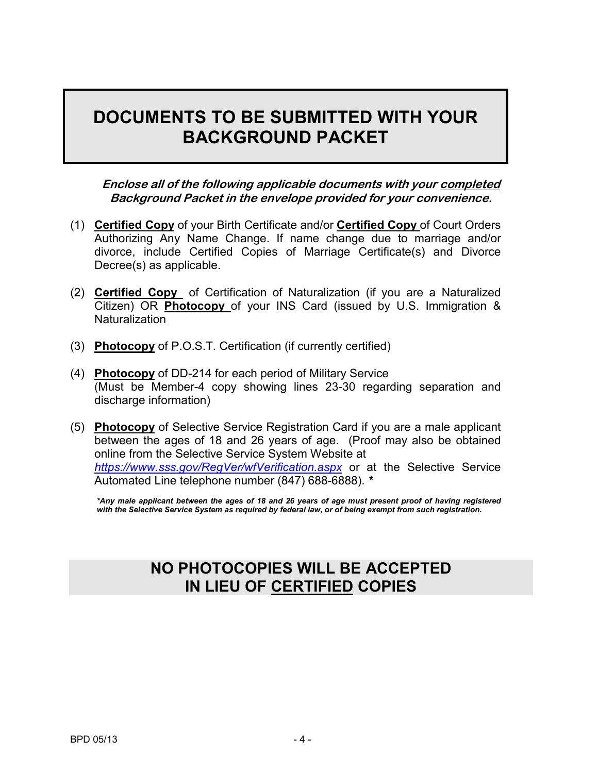# **DOCUMENTS TO BE SUBMITTED WITH YOUR BACKGROUND PACKET**

**Enclose all of the following applicable documents with your completed Background Packet in the envelope provided for your convenience.**

- (1) **Certified Copy** of your Birth Certificate and/or **Certified Copy** of Court Orders Authorizing Any Name Change. If name change due to marriage and/or divorce, include Certified Copies of Marriage Certificate(s) and Divorce Decree(s) as applicable.
- (2) **Certified Copy** of Certification of Naturalization (if you are a Naturalized Citizen) OR **Photocopy** of your INS Card (issued by U.S. Immigration & **Naturalization**
- (3) **Photocopy** of P.O.S.T. Certification (if currently certified)
- (4) **Photocopy** of DD-214 for each period of Military Service (Must be Member-4 copy showing lines 23-30 regarding separation and discharge information)
- (5) **Photocopy** of Selective Service Registration Card if you are a male applicant between the ages of 18 and 26 years of age. (Proof may also be obtained online from the Selective Service System Website at *<https://www.sss.gov/RegVer/wfVerification.aspx>* or at the Selective Service Automated Line telephone number (847) 688-6888). *\**

*\*Any male applicant between the ages of 18 and 26 years of age must present proof of having registered with the Selective Service System as required by federal law, or of being exempt from such registration.*

## **NO PHOTOCOPIES WILL BE ACCEPTED IN LIEU OF CERTIFIED COPIES**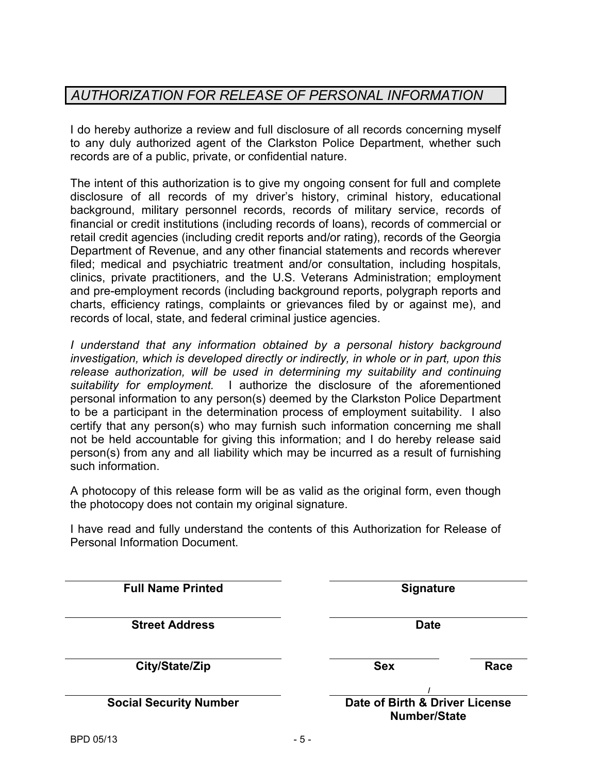## *AUTHORIZATION FOR RELEASE OF PERSONAL INFORMATION*

I do hereby authorize a review and full disclosure of all records concerning myself to any duly authorized agent of the Clarkston Police Department, whether such records are of a public, private, or confidential nature.

The intent of this authorization is to give my ongoing consent for full and complete disclosure of all records of my driver's history, criminal history, educational background, military personnel records, records of military service, records of financial or credit institutions (including records of loans), records of commercial or retail credit agencies (including credit reports and/or rating), records of the Georgia Department of Revenue, and any other financial statements and records wherever filed; medical and psychiatric treatment and/or consultation, including hospitals, clinics, private practitioners, and the U.S. Veterans Administration; employment and pre-employment records (including background reports, polygraph reports and charts, efficiency ratings, complaints or grievances filed by or against me), and records of local, state, and federal criminal justice agencies.

*I* understand that any information obtained by a personal history background *investigation, which is developed directly or indirectly, in whole or in part, upon this release authorization, will be used in determining my suitability and continuing suitability for employment.* I authorize the disclosure of the aforementioned personal information to any person(s) deemed by the Clarkston Police Department to be a participant in the determination process of employment suitability. I also certify that any person(s) who may furnish such information concerning me shall not be held accountable for giving this information; and I do hereby release said person(s) from any and all liability which may be incurred as a result of furnishing such information.

A photocopy of this release form will be as valid as the original form, even though the photocopy does not contain my original signature.

I have read and fully understand the contents of this Authorization for Release of Personal Information Document.

| <b>Full Name Printed</b>      | <b>Signature</b>                                      |      |
|-------------------------------|-------------------------------------------------------|------|
| <b>Street Address</b>         | <b>Date</b>                                           |      |
| City/State/Zip                | <b>Sex</b>                                            | Race |
| <b>Social Security Number</b> | Date of Birth & Driver License<br><b>Number/State</b> |      |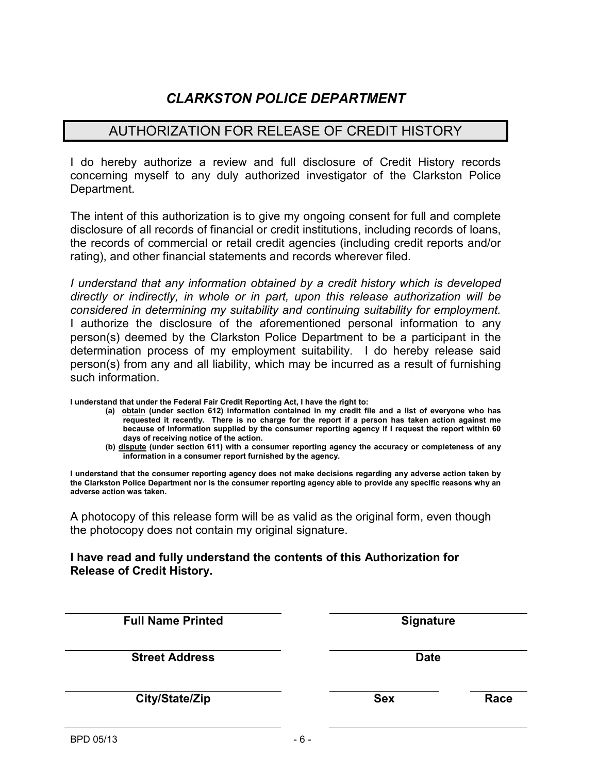## *CLARKSTON POLICE DEPARTMENT*

#### AUTHORIZATION FOR RELEASE OF CREDIT HISTORY

I do hereby authorize a review and full disclosure of Credit History records concerning myself to any duly authorized investigator of the Clarkston Police Department.

The intent of this authorization is to give my ongoing consent for full and complete disclosure of all records of financial or credit institutions, including records of loans, the records of commercial or retail credit agencies (including credit reports and/or rating), and other financial statements and records wherever filed.

*I understand that any information obtained by a credit history which is developed directly or indirectly, in whole or in part, upon this release authorization will be considered in determining my suitability and continuing suitability for employment.* I authorize the disclosure of the aforementioned personal information to any person(s) deemed by the Clarkston Police Department to be a participant in the determination process of my employment suitability. I do hereby release said person(s) from any and all liability, which may be incurred as a result of furnishing such information.

**I understand that under the Federal Fair Credit Reporting Act, I have the right to:**

- **(a) obtain (under section 612) information contained in my credit file and a list of everyone who has requested it recently. There is no charge for the report if a person has taken action against me because of information supplied by the consumer reporting agency if I request the report within 60 days of receiving notice of the action.**
- **(b) dispute (under section 611) with a consumer reporting agency the accuracy or completeness of any information in a consumer report furnished by the agency.**

**I understand that the consumer reporting agency does not make decisions regarding any adverse action taken by the Clarkston Police Department nor is the consumer reporting agency able to provide any specific reasons why an adverse action was taken.** 

A photocopy of this release form will be as valid as the original form, even though the photocopy does not contain my original signature.

#### **I have read and fully understand the contents of this Authorization for Release of Credit History.**

| <b>Full Name Printed</b> | <b>Signature</b> |      |
|--------------------------|------------------|------|
| <b>Street Address</b>    | <b>Date</b>      |      |
| City/State/Zip           | <b>Sex</b>       | Race |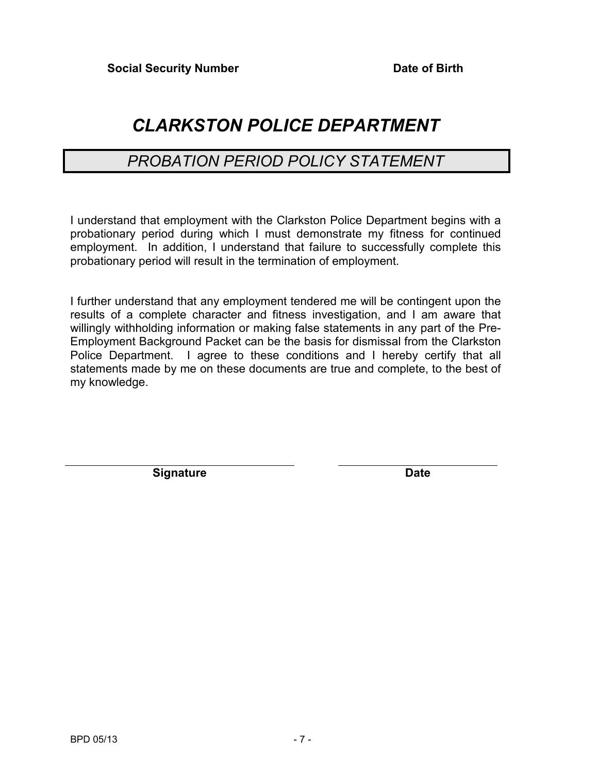# *CLARKSTON POLICE DEPARTMENT*

## *PROBATION PERIOD POLICY STATEMENT*

I understand that employment with the Clarkston Police Department begins with a probationary period during which I must demonstrate my fitness for continued employment. In addition, I understand that failure to successfully complete this probationary period will result in the termination of employment.

I further understand that any employment tendered me will be contingent upon the results of a complete character and fitness investigation, and I am aware that willingly withholding information or making false statements in any part of the Pre-Employment Background Packet can be the basis for dismissal from the Clarkston Police Department. I agree to these conditions and I hereby certify that all statements made by me on these documents are true and complete, to the best of my knowledge.

**Signature Date**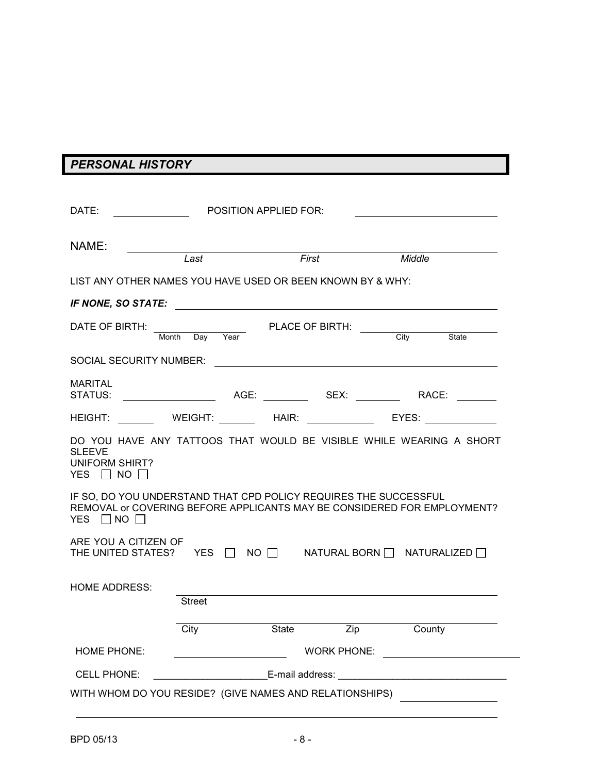## *PERSONAL HISTORY*

| DATE:                                                                                    |               | <b>POSITION APPLIED FOR:</b>   |                  |                                                                                  |
|------------------------------------------------------------------------------------------|---------------|--------------------------------|------------------|----------------------------------------------------------------------------------|
| NAME:                                                                                    | Last          | First                          |                  | Middle                                                                           |
| LIST ANY OTHER NAMES YOU HAVE USED OR BEEN KNOWN BY & WHY:                               |               |                                |                  |                                                                                  |
| IF NONE, SO STATE:                                                                       |               |                                |                  |                                                                                  |
| DATE OF BIRTH:<br>Month                                                                  | Day<br>Year   | <b>PLACE OF BIRTH:</b>         |                  | City<br>State                                                                    |
| SOCIAL SECURITY NUMBER:                                                                  |               |                                |                  |                                                                                  |
| <b>MARITAL</b><br>STATUS:                                                                |               |                                |                  |                                                                                  |
| HEIGHT:                                                                                  |               | WEIGHT: HAIR: EYES:            |                  |                                                                                  |
| <b>SLEEVE</b><br><b>UNIFORM SHIRT?</b><br>YES $\Box$ NO $\Box$                           |               |                                |                  | DO YOU HAVE ANY TATTOOS THAT WOULD BE VISIBLE WHILE WEARING A SHORT              |
| IF SO, DO YOU UNDERSTAND THAT CPD POLICY REQUIRES THE SUCCESSFUL<br>YES $\Box$ NO $\Box$ |               |                                |                  | REMOVAL or COVERING BEFORE APPLICANTS MAY BE CONSIDERED FOR EMPLOYMENT?          |
| ARE YOU A CITIZEN OF<br>THE UNITED STATES? YES $\Box$                                    |               |                                |                  | $\mathsf{NO} \ \Box$ NATURAL BORN $\Box$ NATURALIZED $\Box$                      |
| <b>HOME ADDRESS:</b>                                                                     | <b>Street</b> |                                |                  |                                                                                  |
|                                                                                          | City          | $\overline{\phantom{a}}$ State | $\overline{zip}$ | County                                                                           |
| <b>HOME PHONE:</b>                                                                       |               |                                |                  | WORK PHONE: <u>____________________</u>                                          |
| <b>CELL PHONE:</b>                                                                       |               |                                |                  | _______________________________E-mail address: _________________________________ |
| WITH WHOM DO YOU RESIDE? (GIVE NAMES AND RELATIONSHIPS)                                  |               |                                |                  |                                                                                  |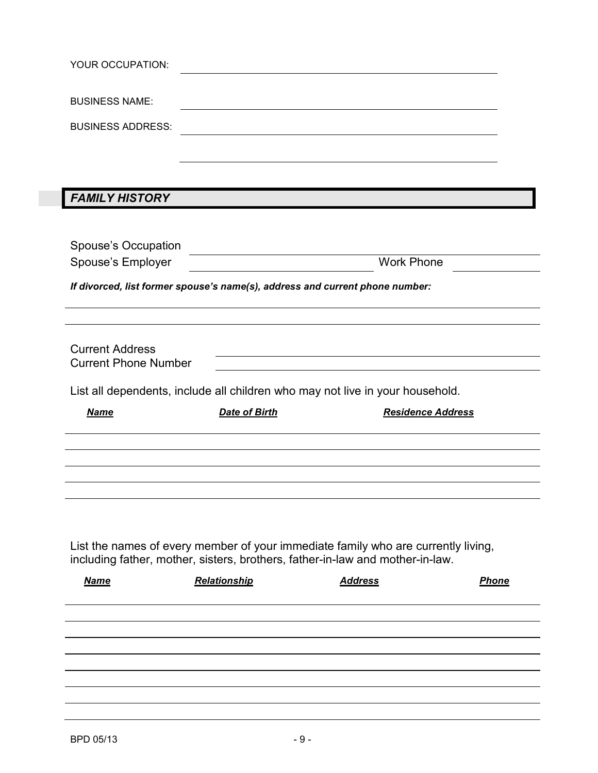|                                                       | YOUR OCCUPATION:                                                                                                      |                                                                                   |
|-------------------------------------------------------|-----------------------------------------------------------------------------------------------------------------------|-----------------------------------------------------------------------------------|
| <b>BUSINESS NAME:</b>                                 |                                                                                                                       |                                                                                   |
| <b>BUSINESS ADDRESS:</b>                              |                                                                                                                       |                                                                                   |
|                                                       |                                                                                                                       |                                                                                   |
|                                                       |                                                                                                                       |                                                                                   |
| <b>FAMILY HISTORY</b>                                 |                                                                                                                       |                                                                                   |
|                                                       |                                                                                                                       |                                                                                   |
| Spouse's Occupation                                   | <u> 1980 - Johann Barn, mars ann an t-Amhain Aonaich an t-Aonaich an t-Aonaich an t-Aonaich an t-Aonaich an t-Aon</u> |                                                                                   |
| Spouse's Employer                                     |                                                                                                                       | <b>Work Phone</b>                                                                 |
|                                                       | If divorced, list former spouse's name(s), address and current phone number:                                          |                                                                                   |
|                                                       |                                                                                                                       |                                                                                   |
|                                                       |                                                                                                                       |                                                                                   |
| <b>Current Address</b><br><b>Current Phone Number</b> |                                                                                                                       |                                                                                   |
|                                                       |                                                                                                                       |                                                                                   |
|                                                       | List all dependents, include all children who may not live in your household.                                         |                                                                                   |
| <b>Name</b>                                           | <b>Date of Birth</b>                                                                                                  | <b>Residence Address</b>                                                          |
|                                                       |                                                                                                                       |                                                                                   |
|                                                       |                                                                                                                       |                                                                                   |
|                                                       |                                                                                                                       |                                                                                   |
|                                                       |                                                                                                                       |                                                                                   |
|                                                       |                                                                                                                       |                                                                                   |
|                                                       |                                                                                                                       |                                                                                   |
|                                                       |                                                                                                                       | List the names of every member of your immediate family who are currently living, |
| <b>Name</b>                                           | including father, mother, sisters, brothers, father-in-law and mother-in-law.<br>Relationship                         | <b>Address</b><br><b>Phone</b>                                                    |
|                                                       |                                                                                                                       |                                                                                   |
|                                                       |                                                                                                                       |                                                                                   |
|                                                       |                                                                                                                       |                                                                                   |
|                                                       |                                                                                                                       |                                                                                   |
|                                                       |                                                                                                                       |                                                                                   |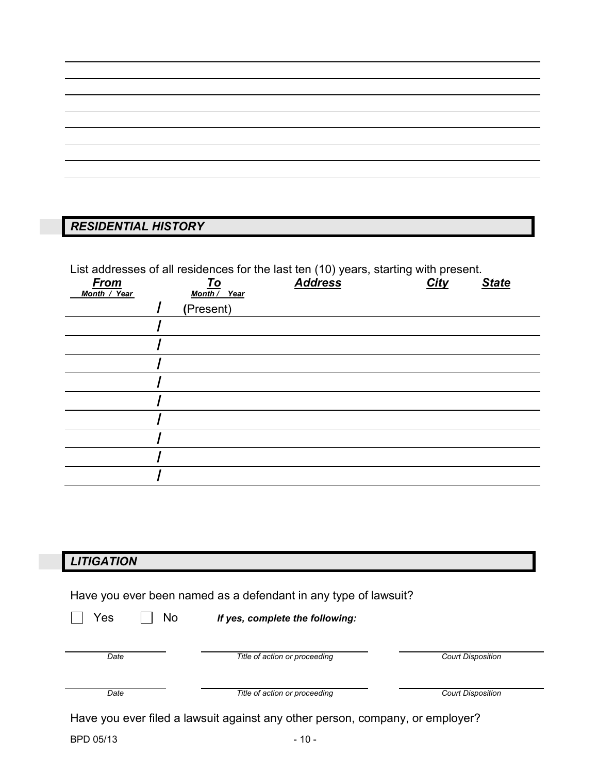## *RESIDENTIAL HISTORY*

List addresses of all residences for the last ten (10) years, starting with present.

| <b>From</b><br>Month / Year | <u>To</u><br>Month / Year | .<br>$\sim$<br><b>Address</b> | $\tilde{}$<br>City | <b>State</b> |
|-----------------------------|---------------------------|-------------------------------|--------------------|--------------|
|                             | (Present)                 |                               |                    |              |
|                             |                           |                               |                    |              |
|                             |                           |                               |                    |              |
|                             |                           |                               |                    |              |
|                             |                           |                               |                    |              |
|                             |                           |                               |                    |              |
|                             |                           |                               |                    |              |
|                             |                           |                               |                    |              |
|                             |                           |                               |                    |              |
|                             |                           |                               |                    |              |

## *LITIGATION*

| Have you ever been named as a defendant in any type of lawsuit? |           |  |  |                                 |
|-----------------------------------------------------------------|-----------|--|--|---------------------------------|
|                                                                 | Yes    No |  |  | If yes, complete the following: |
|                                                                 |           |  |  |                                 |

| Date | Title of action or proceeding                                                 |                          |
|------|-------------------------------------------------------------------------------|--------------------------|
| Date | Title of action or proceeding                                                 | <b>Court Disposition</b> |
|      | Have you ever filed a lawsuit against any other person, company, or employer? |                          |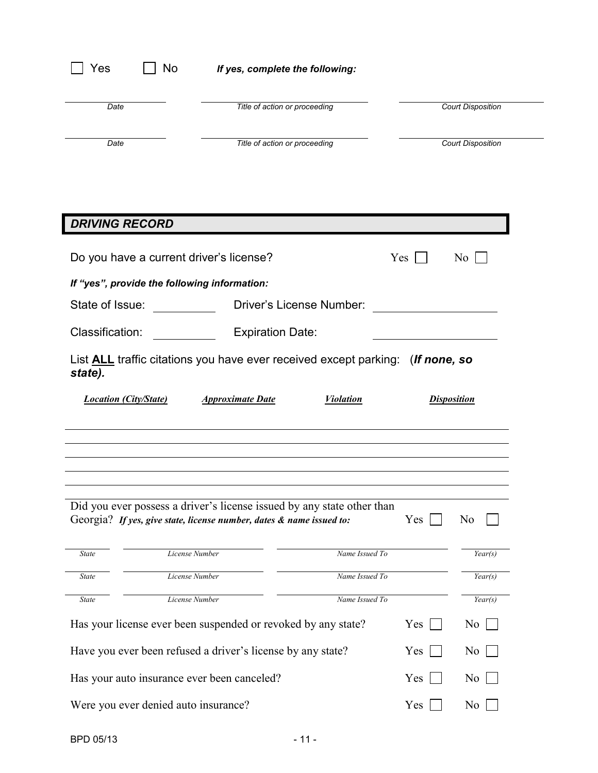| Yes                                  | No             |                                                                                       | If yes, complete the following: |                  |     |                          |
|--------------------------------------|----------------|---------------------------------------------------------------------------------------|---------------------------------|------------------|-----|--------------------------|
| Date                                 |                |                                                                                       | Title of action or proceeding   |                  |     | <b>Court Disposition</b> |
| Date                                 |                |                                                                                       | Title of action or proceeding   |                  |     | <b>Court Disposition</b> |
|                                      |                |                                                                                       |                                 |                  |     |                          |
|                                      |                |                                                                                       |                                 |                  |     |                          |
| <b>DRIVING RECORD</b>                |                |                                                                                       |                                 |                  |     |                          |
|                                      |                | Do you have a current driver's license?                                               |                                 |                  | Yes | N <sub>o</sub>           |
|                                      |                | If "yes", provide the following information:                                          |                                 |                  |     |                          |
| State of Issue:                      |                |                                                                                       | Driver's License Number:        |                  |     |                          |
| Classification:                      |                |                                                                                       | <b>Expiration Date:</b>         |                  |     |                          |
| state).                              |                | List <b>ALL</b> traffic citations you have ever received except parking: (If none, so |                                 |                  |     |                          |
| <b>Location (City/State)</b>         |                | <b>Approximate Date</b>                                                               |                                 | <b>Violation</b> |     | <b>Disposition</b>       |
|                                      |                |                                                                                       |                                 |                  |     |                          |
|                                      |                |                                                                                       |                                 |                  |     |                          |
|                                      |                | Did you ever possess a driver's license issued by any state other than                |                                 |                  |     |                          |
|                                      |                | Georgia? If yes, give state, license number, dates & name issued to:                  |                                 |                  | Yes | N <sub>0</sub>           |
| State                                | License Number |                                                                                       |                                 | Name Issued To   |     | Year(s)                  |
| State                                | License Number |                                                                                       |                                 | Name Issued To   |     | Year(s)                  |
| <b>State</b>                         | License Number |                                                                                       |                                 | Name Issued To   |     | Year(s)                  |
|                                      |                | Has your license ever been suspended or revoked by any state?                         |                                 |                  | Yes | N <sub>0</sub>           |
|                                      |                | Have you ever been refused a driver's license by any state?                           |                                 |                  | Yes | N <sub>0</sub>           |
|                                      |                | Has your auto insurance ever been canceled?                                           |                                 |                  | Yes | N <sub>0</sub>           |
| Were you ever denied auto insurance? |                |                                                                                       |                                 |                  | Yes | N <sub>0</sub>           |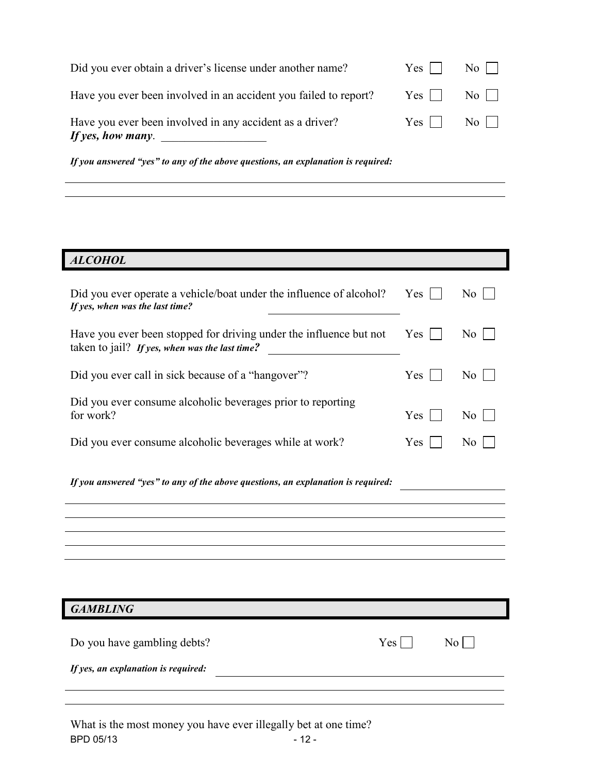| If yes, how many.                                                |                              |                  |
|------------------------------------------------------------------|------------------------------|------------------|
| Have you ever been involved in any accident as a driver?         | $Yes \mid \mid No \mid \mid$ |                  |
| Have you ever been involved in an accident you failed to report? | $Yes \mid \mid$              | No               |
| Did you ever obtain a driver's license under another name?       | $Yes \mid \mid$              | $\overline{N_0}$ |

*If you answered "yes" to any of the above questions, an explanation is required:*

#### *ALCOHOL*

| Did you ever operate a vehicle/boat under the influence of alcohol?<br>If yes, when was the last time?               | Yes | N <sub>0</sub>  |
|----------------------------------------------------------------------------------------------------------------------|-----|-----------------|
| Have you ever been stopped for driving under the influence but not<br>taken to jail? If yes, when was the last time? | Yes | N <sub>o</sub>  |
| Did you ever call in sick because of a "hangover"?                                                                   | Yes | N <sub>0</sub>  |
| Did you ever consume alcoholic beverages prior to reporting<br>for work?                                             | Yes | N <sub>0</sub>  |
| Did you ever consume alcoholic beverages while at work?                                                              | Yes | N <sub>0</sub>  |
| If you answered "yes" to any of the above questions, an explanation is required:                                     |     |                 |
|                                                                                                                      |     |                 |
|                                                                                                                      |     |                 |
|                                                                                                                      |     |                 |
|                                                                                                                      |     |                 |
| <b>GAMBLING</b>                                                                                                      |     |                 |
| Do you have gambling debts?<br>If yes, an explanation is required:                                                   | Yes | No <sub>1</sub> |
|                                                                                                                      |     |                 |

BPD 05/13 - 12 -What is the most money you have ever illegally bet at one time?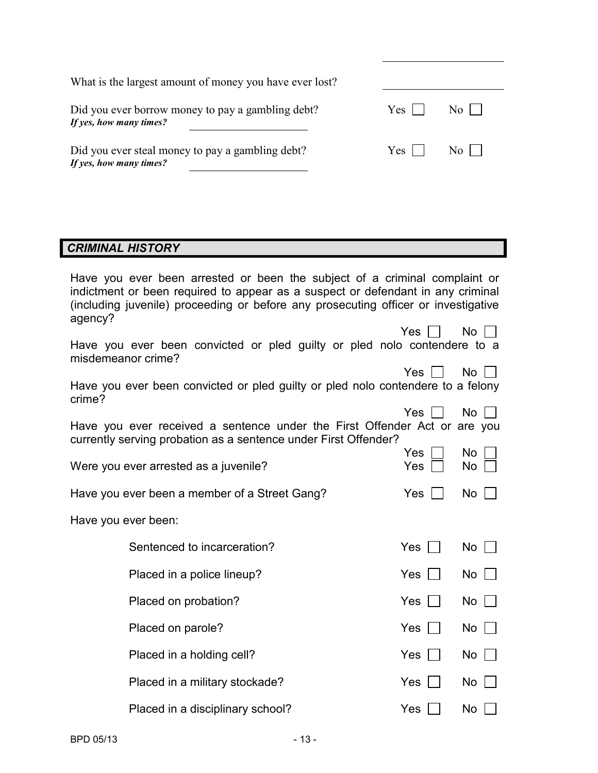| What is the largest amount of money you have ever lost?                      |       |                  |
|------------------------------------------------------------------------------|-------|------------------|
| Did you ever borrow money to pay a gambling debt?<br>If yes, how many times? | Yes l | $\overline{N_0}$ |
| Did you ever steal money to pay a gambling debt?<br>If yes, how many times?  | Yes   | $\overline{N_0}$ |

#### *CRIMINAL HISTORY*

| Have you ever been arrested or been the subject of a criminal complaint or<br>indictment or been required to appear as a suspect or defendant in any criminal<br>(including juvenile) proceeding or before any prosecuting officer or investigative |            |              |  |
|-----------------------------------------------------------------------------------------------------------------------------------------------------------------------------------------------------------------------------------------------------|------------|--------------|--|
| agency?<br>Have you ever been convicted or pled guilty or pled nolo contendere to a<br>misdemeanor crime?                                                                                                                                           | Yes        | $No$ $ $ $ $ |  |
| Have you ever been convicted or pled guilty or pled nolo contendere to a felony<br>crime?                                                                                                                                                           | Yes        | No           |  |
| Have you ever received a sentence under the First Offender Act or are you<br>currently serving probation as a sentence under First Offender?                                                                                                        | Yes        | No           |  |
| Were you ever arrested as a juvenile?                                                                                                                                                                                                               | Yes<br>Yes | No<br>No     |  |
| Have you ever been a member of a Street Gang?                                                                                                                                                                                                       | Yes        | No           |  |
| Have you ever been:                                                                                                                                                                                                                                 |            |              |  |
| Sentenced to incarceration?                                                                                                                                                                                                                         | Yes        | No           |  |
| Placed in a police lineup?                                                                                                                                                                                                                          | Yes        | $No$ $ $     |  |
| Placed on probation?                                                                                                                                                                                                                                | <b>Yes</b> | No           |  |
| Placed on parole?                                                                                                                                                                                                                                   | Yes        | No           |  |
| Placed in a holding cell?                                                                                                                                                                                                                           | Yes        | No           |  |
| Placed in a military stockade?                                                                                                                                                                                                                      | Yes        | No           |  |
| Placed in a disciplinary school?                                                                                                                                                                                                                    | <b>Yes</b> | No           |  |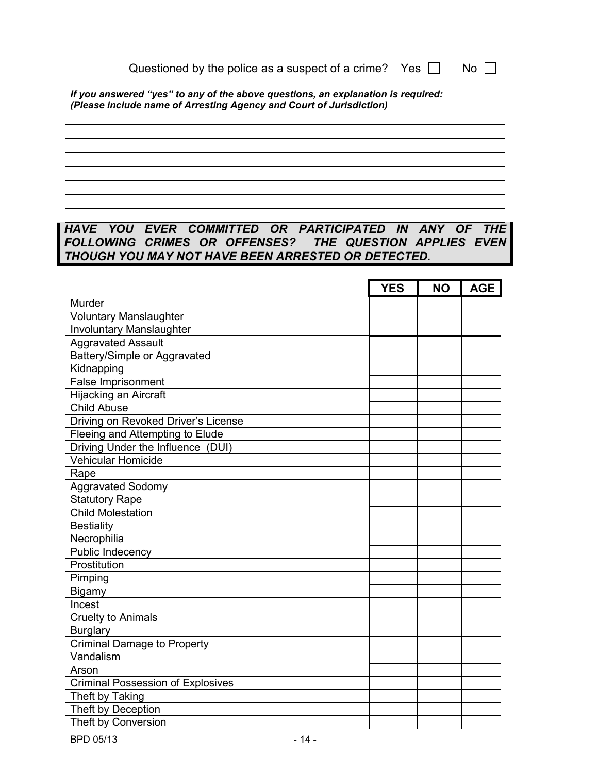| Questioned by the police as a suspect of a crime? Yes $\Box$ N. |  | <b>No</b> |
|-----------------------------------------------------------------|--|-----------|
|-----------------------------------------------------------------|--|-----------|

*If you answered "yes" to any of the above questions, an explanation is required: (Please include name of Arresting Agency and Court of Jurisdiction)*

#### *HAVE YOU EVER COMMITTED OR PARTICIPATED IN ANY OF THE FOLLOWING CRIMES OR OFFENSES? THE QUESTION APPLIES EVEN THOUGH YOU MAY NOT HAVE BEEN ARRESTED OR DETECTED.*

|                                          | <b>YES</b> | <b>NO</b> | <b>AGE</b> |
|------------------------------------------|------------|-----------|------------|
| Murder                                   |            |           |            |
| <b>Voluntary Manslaughter</b>            |            |           |            |
| <b>Involuntary Manslaughter</b>          |            |           |            |
| <b>Aggravated Assault</b>                |            |           |            |
| Battery/Simple or Aggravated             |            |           |            |
| Kidnapping                               |            |           |            |
| False Imprisonment                       |            |           |            |
| Hijacking an Aircraft                    |            |           |            |
| <b>Child Abuse</b>                       |            |           |            |
| Driving on Revoked Driver's License      |            |           |            |
| Fleeing and Attempting to Elude          |            |           |            |
| Driving Under the Influence (DUI)        |            |           |            |
| Vehicular Homicide                       |            |           |            |
| Rape                                     |            |           |            |
| <b>Aggravated Sodomy</b>                 |            |           |            |
| <b>Statutory Rape</b>                    |            |           |            |
| <b>Child Molestation</b>                 |            |           |            |
| <b>Bestiality</b>                        |            |           |            |
| Necrophilia                              |            |           |            |
| Public Indecency                         |            |           |            |
| Prostitution                             |            |           |            |
| Pimping                                  |            |           |            |
| Bigamy                                   |            |           |            |
| Incest                                   |            |           |            |
| <b>Cruelty to Animals</b>                |            |           |            |
| <b>Burglary</b>                          |            |           |            |
| <b>Criminal Damage to Property</b>       |            |           |            |
| Vandalism                                |            |           |            |
| Arson                                    |            |           |            |
| <b>Criminal Possession of Explosives</b> |            |           |            |
| Theft by Taking                          |            |           |            |
| Theft by Deception                       |            |           |            |
| Theft by Conversion                      |            |           |            |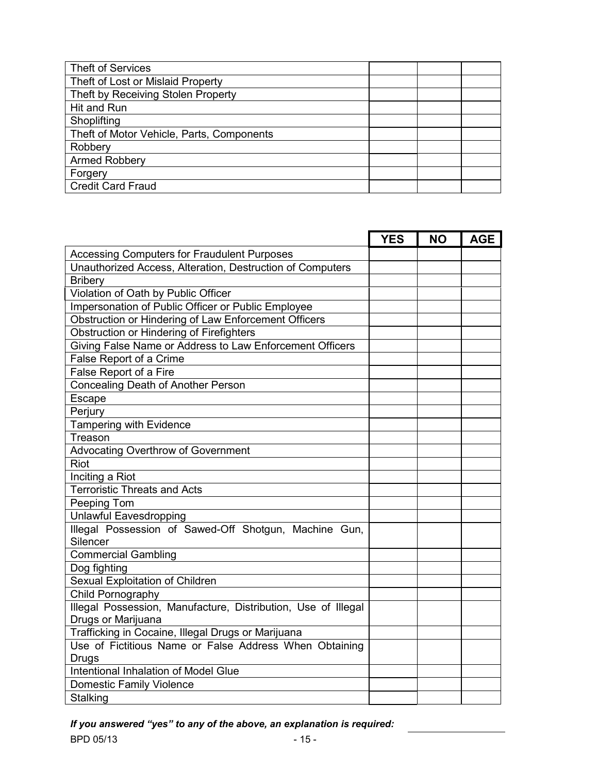| <b>Theft of Services</b>                  |  |  |
|-------------------------------------------|--|--|
| Theft of Lost or Mislaid Property         |  |  |
| Theft by Receiving Stolen Property        |  |  |
| Hit and Run                               |  |  |
| Shoplifting                               |  |  |
| Theft of Motor Vehicle, Parts, Components |  |  |
| Robbery                                   |  |  |
| Armed Robbery                             |  |  |
| Forgery                                   |  |  |
| <b>Credit Card Fraud</b>                  |  |  |

|                                                                   | <b>YES</b> | <b>NO</b> | <b>AGE</b> |
|-------------------------------------------------------------------|------------|-----------|------------|
| <b>Accessing Computers for Fraudulent Purposes</b>                |            |           |            |
| Unauthorized Access, Alteration, Destruction of Computers         |            |           |            |
| <b>Bribery</b>                                                    |            |           |            |
| Violation of Oath by Public Officer                               |            |           |            |
| Impersonation of Public Officer or Public Employee                |            |           |            |
| Obstruction or Hindering of Law Enforcement Officers              |            |           |            |
| Obstruction or Hindering of Firefighters                          |            |           |            |
| Giving False Name or Address to Law Enforcement Officers          |            |           |            |
| False Report of a Crime                                           |            |           |            |
| False Report of a Fire                                            |            |           |            |
| <b>Concealing Death of Another Person</b>                         |            |           |            |
| Escape                                                            |            |           |            |
| Perjury                                                           |            |           |            |
| <b>Tampering with Evidence</b>                                    |            |           |            |
| Treason                                                           |            |           |            |
| Advocating Overthrow of Government                                |            |           |            |
| <b>Riot</b>                                                       |            |           |            |
| Inciting a Riot                                                   |            |           |            |
| <b>Terroristic Threats and Acts</b>                               |            |           |            |
| Peeping Tom                                                       |            |           |            |
| <b>Unlawful Eavesdropping</b>                                     |            |           |            |
| Illegal Possession of Sawed-Off Shotgun, Machine Gun,<br>Silencer |            |           |            |
| <b>Commercial Gambling</b>                                        |            |           |            |
| Dog fighting                                                      |            |           |            |
| Sexual Exploitation of Children                                   |            |           |            |
| Child Pornography                                                 |            |           |            |
| Illegal Possession, Manufacture, Distribution, Use of Illegal     |            |           |            |
| Drugs or Marijuana                                                |            |           |            |
| Trafficking in Cocaine, Illegal Drugs or Marijuana                |            |           |            |
| Use of Fictitious Name or False Address When Obtaining            |            |           |            |
| <b>Drugs</b>                                                      |            |           |            |
| Intentional Inhalation of Model Glue                              |            |           |            |
| <b>Domestic Family Violence</b>                                   |            |           |            |
| Stalking                                                          |            |           |            |

*If you answered "yes" to any of the above, an explanation is required:*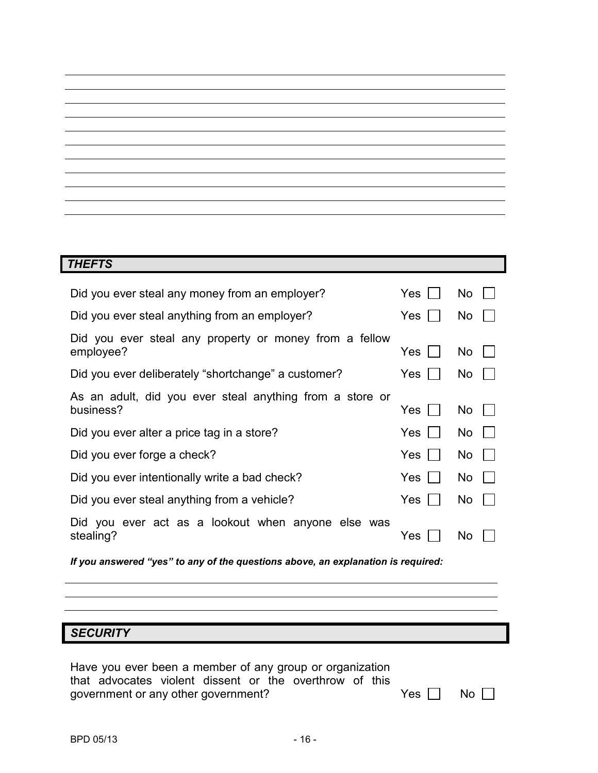| <b>THEFTS</b>                                                         |            |           |
|-----------------------------------------------------------------------|------------|-----------|
| Did you ever steal any money from an employer?                        | <b>Yes</b> | No.       |
| Did you ever steal anything from an employer?                         | <b>Yes</b> | No.       |
| Did you ever steal any property or money from a fellow<br>employee?   | Yes        | No.       |
| Did you ever deliberately "shortchange" a customer?                   | Yes        | No.       |
| As an adult, did you ever steal anything from a store or<br>business? | Yes        | <b>No</b> |
| Did you ever alter a price tag in a store?                            | Yes        | No.       |
| Did you ever forge a check?                                           | <b>Yes</b> | No.       |
| Did you ever intentionally write a bad check?                         | <b>Yes</b> | No.       |
| Did you ever steal anything from a vehicle?                           | Yes        | No.       |
| Did you ever act as a lookout when anyone else was<br>stealing?       | Yes        | No        |

<u> 1989 - Johann Stoff, amerikansk politiker (d. 1989)</u>

*If you answered "yes" to any of the questions above, an explanation is required:*

## *SECURITY*

| Have you ever been a member of any group or organization |  |  |  |  |                      |
|----------------------------------------------------------|--|--|--|--|----------------------|
| that advocates violent dissent or the overthrow of this  |  |  |  |  |                      |
| government or any other government?                      |  |  |  |  | Yes $\Box$ No $\Box$ |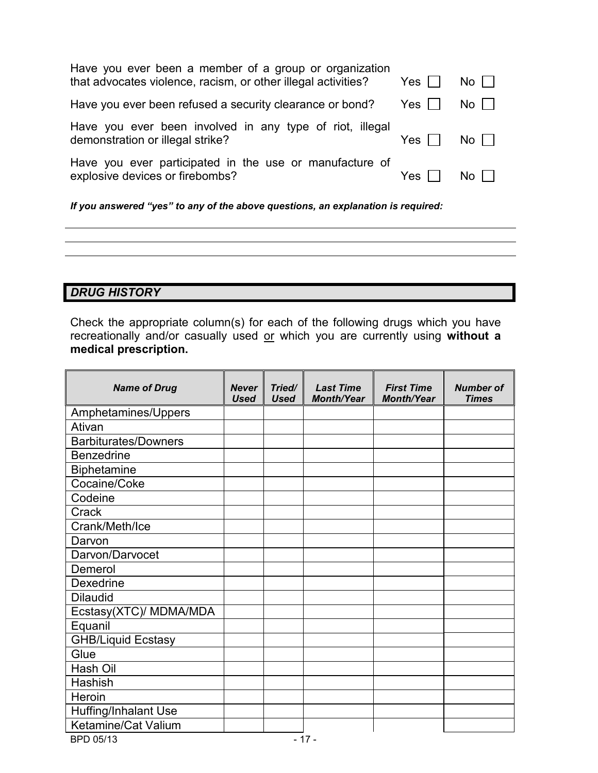| Have you ever been a member of a group or organization<br>that advocates violence, racism, or other illegal activities? | $Yes$ $\mid$ | $No$ $\vert \ \vert$ |
|-------------------------------------------------------------------------------------------------------------------------|--------------|----------------------|
| Have you ever been refused a security clearance or bond?                                                                | Yes I        | $No$ $\vert \ \vert$ |
| Have you ever been involved in any type of riot, illegal<br>demonstration or illegal strike?                            | Yes          | No I                 |
| Have you ever participated in the use or manufacture of<br>explosive devices or firebombs?                              | Yes.         | No L                 |
|                                                                                                                         |              |                      |

*If you answered "yes" to any of the above questions, an explanation is required:* 

#### *DRUG HISTORY*

Check the appropriate column(s) for each of the following drugs which you have recreationally and/or casually used or which you are currently using **without a medical prescription.**

| <b>Name of Drug</b>         | <b>Never</b><br><b>Used</b> | Tried/<br><b>Used</b> | <b>Last Time</b><br><b>Month/Year</b> | <b>First Time</b><br><b>Month/Year</b> | <b>Number of</b><br><b>Times</b> |
|-----------------------------|-----------------------------|-----------------------|---------------------------------------|----------------------------------------|----------------------------------|
| Amphetamines/Uppers         |                             |                       |                                       |                                        |                                  |
| Ativan                      |                             |                       |                                       |                                        |                                  |
| <b>Barbiturates/Downers</b> |                             |                       |                                       |                                        |                                  |
| <b>Benzedrine</b>           |                             |                       |                                       |                                        |                                  |
| <b>Biphetamine</b>          |                             |                       |                                       |                                        |                                  |
| Cocaine/Coke                |                             |                       |                                       |                                        |                                  |
| Codeine                     |                             |                       |                                       |                                        |                                  |
| Crack                       |                             |                       |                                       |                                        |                                  |
| Crank/Meth/Ice              |                             |                       |                                       |                                        |                                  |
| Darvon                      |                             |                       |                                       |                                        |                                  |
| Darvon/Darvocet             |                             |                       |                                       |                                        |                                  |
| Demerol                     |                             |                       |                                       |                                        |                                  |
| Dexedrine                   |                             |                       |                                       |                                        |                                  |
| <b>Dilaudid</b>             |                             |                       |                                       |                                        |                                  |
| Ecstasy(XTC)/ MDMA/MDA      |                             |                       |                                       |                                        |                                  |
| Equanil                     |                             |                       |                                       |                                        |                                  |
| <b>GHB/Liquid Ecstasy</b>   |                             |                       |                                       |                                        |                                  |
| Glue                        |                             |                       |                                       |                                        |                                  |
| Hash Oil                    |                             |                       |                                       |                                        |                                  |
| Hashish                     |                             |                       |                                       |                                        |                                  |
| Heroin                      |                             |                       |                                       |                                        |                                  |
| Huffing/Inhalant Use        |                             |                       |                                       |                                        |                                  |
| Ketamine/Cat Valium         |                             |                       |                                       |                                        |                                  |
| BPD 05/13                   |                             |                       | $-17-$                                |                                        |                                  |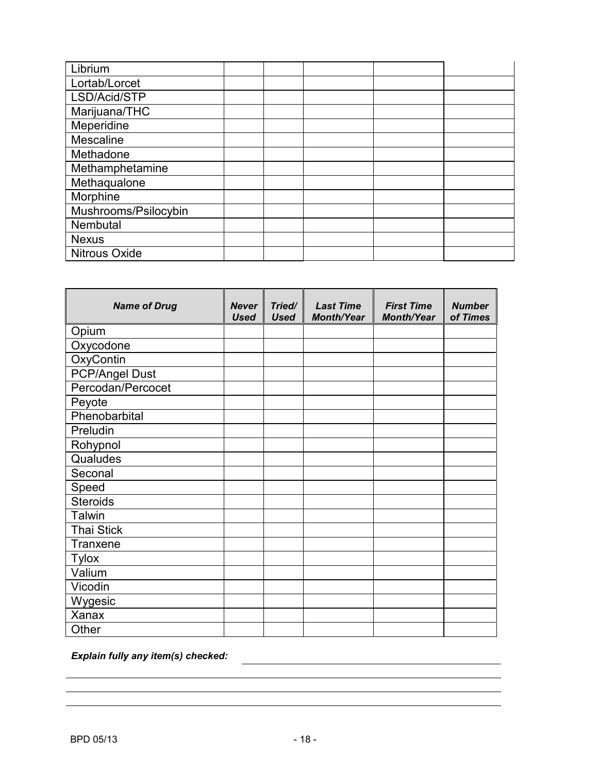| Librium              |  |  |  |
|----------------------|--|--|--|
| Lortab/Lorcet        |  |  |  |
| LSD/Acid/STP         |  |  |  |
| Marijuana/THC        |  |  |  |
| Meperidine           |  |  |  |
| Mescaline            |  |  |  |
| Methadone            |  |  |  |
| Methamphetamine      |  |  |  |
| Methaqualone         |  |  |  |
| Morphine             |  |  |  |
| Mushrooms/Psilocybin |  |  |  |
| Nembutal             |  |  |  |
| <b>Nexus</b>         |  |  |  |
| <b>Nitrous Oxide</b> |  |  |  |

| <b>Name of Drug</b>   | <b>Never</b><br><b>Used</b> | Tried/<br><b>Used</b> | <b>Last Time</b><br><b>Month/Year</b> | <b>First Time</b><br><b>Month/Year</b> | <b>Number</b><br>of Times |
|-----------------------|-----------------------------|-----------------------|---------------------------------------|----------------------------------------|---------------------------|
| Opium                 |                             |                       |                                       |                                        |                           |
| Oxycodone             |                             |                       |                                       |                                        |                           |
| OxyContin             |                             |                       |                                       |                                        |                           |
| <b>PCP/Angel Dust</b> |                             |                       |                                       |                                        |                           |
| Percodan/Percocet     |                             |                       |                                       |                                        |                           |
| Peyote                |                             |                       |                                       |                                        |                           |
| Phenobarbital         |                             |                       |                                       |                                        |                           |
| Preludin              |                             |                       |                                       |                                        |                           |
| Rohypnol              |                             |                       |                                       |                                        |                           |
| Qualudes              |                             |                       |                                       |                                        |                           |
| Seconal               |                             |                       |                                       |                                        |                           |
| Speed                 |                             |                       |                                       |                                        |                           |
| <b>Steroids</b>       |                             |                       |                                       |                                        |                           |
| Talwin                |                             |                       |                                       |                                        |                           |
| <b>Thai Stick</b>     |                             |                       |                                       |                                        |                           |
| Tranxene              |                             |                       |                                       |                                        |                           |
| <b>Tylox</b>          |                             |                       |                                       |                                        |                           |
| Valium                |                             |                       |                                       |                                        |                           |
| Vicodin               |                             |                       |                                       |                                        |                           |
| Wygesic               |                             |                       |                                       |                                        |                           |
| Xanax                 |                             |                       |                                       |                                        |                           |
| Other                 |                             |                       |                                       |                                        |                           |

*Explain fully any item(s) checked:*

<u> 1980 - Johann Stoff, deutscher Stoffen und der Stoffen und der Stoffen und der Stoffen und der Stoffen und d</u>

<u> 1989 - Johann Stoff, fransk politik (d. 1989)</u>

<u> 1980 - Johann Barn, mars an t-Amerikaansk kommunister (</u>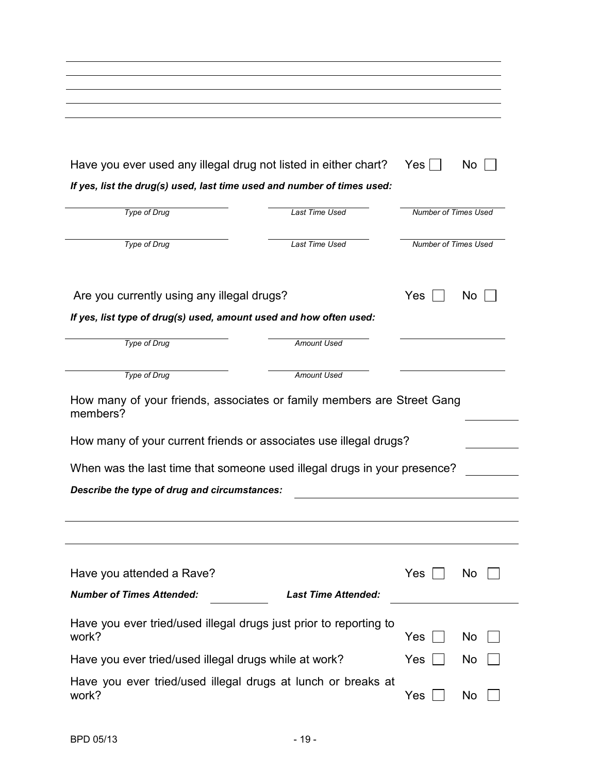| Have you ever used any illegal drug not listed in either chart?                    |                            | Yes <sub>l</sub>     | No.       |
|------------------------------------------------------------------------------------|----------------------------|----------------------|-----------|
| If yes, list the drug(s) used, last time used and number of times used:            |                            |                      |           |
| <b>Type of Drug</b>                                                                | <b>Last Time Used</b>      | Number of Times Used |           |
|                                                                                    |                            |                      |           |
| <b>Type of Drug</b>                                                                | <b>Last Time Used</b>      | Number of Times Used |           |
|                                                                                    |                            |                      |           |
|                                                                                    |                            |                      |           |
| Are you currently using any illegal drugs?                                         |                            | Yes                  | No        |
| If yes, list type of drug(s) used, amount used and how often used:                 |                            |                      |           |
|                                                                                    |                            |                      |           |
| <b>Type of Drug</b>                                                                | Amount Used                |                      |           |
|                                                                                    |                            |                      |           |
| <b>Type of Drug</b>                                                                | Amount Used                |                      |           |
| How many of your friends, associates or family members are Street Gang<br>members? |                            |                      |           |
| How many of your current friends or associates use illegal drugs?                  |                            |                      |           |
|                                                                                    |                            |                      |           |
| When was the last time that someone used illegal drugs in your presence?           |                            |                      |           |
| Describe the type of drug and circumstances:                                       |                            |                      |           |
|                                                                                    |                            |                      |           |
|                                                                                    |                            |                      |           |
|                                                                                    |                            |                      |           |
|                                                                                    |                            |                      |           |
| Have you attended a Rave?                                                          |                            | Yes                  | <b>No</b> |
| <b>Number of Times Attended:</b>                                                   | <b>Last Time Attended:</b> |                      |           |
|                                                                                    |                            |                      |           |
| Have you ever tried/used illegal drugs just prior to reporting to                  |                            |                      |           |
| work?                                                                              |                            | Yes                  | No        |
| Have you ever tried/used illegal drugs while at work?                              |                            | Yes                  | <b>No</b> |
| Have you ever tried/used illegal drugs at lunch or breaks at                       |                            |                      |           |
| work?                                                                              |                            | Yes                  | No        |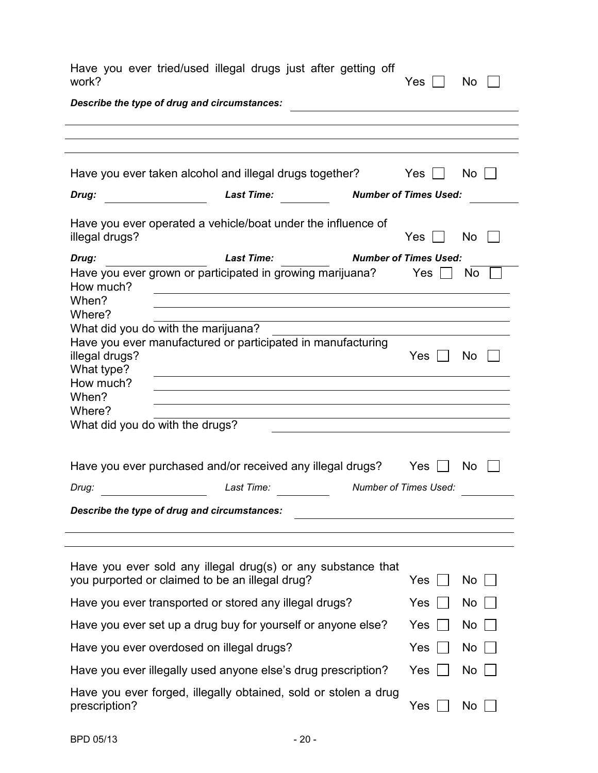| work?                                     | Have you ever tried/used illegal drugs just after getting off                                                                                                                       | Yes                          | <b>No</b> |
|-------------------------------------------|-------------------------------------------------------------------------------------------------------------------------------------------------------------------------------------|------------------------------|-----------|
|                                           | Describe the type of drug and circumstances:                                                                                                                                        |                              |           |
|                                           |                                                                                                                                                                                     |                              |           |
|                                           |                                                                                                                                                                                     |                              |           |
|                                           | Have you ever taken alcohol and illegal drugs together?                                                                                                                             | Yes                          | No        |
| Drug:                                     | <b>Last Time:</b><br><b>Number of Times Used:</b>                                                                                                                                   |                              |           |
| illegal drugs?                            | Have you ever operated a vehicle/boat under the influence of                                                                                                                        | Yes                          | No        |
| Drug:                                     | <b>Last Time:</b>                                                                                                                                                                   | <b>Number of Times Used:</b> |           |
| How much?<br>When?<br>Where?              | Have you ever grown or participated in growing marijuana?<br><u> 1989 - Johann Stoff, deutscher Stoffen und der Stoffen und der Stoffen und der Stoffen und der Stoffen und der</u> | Yes                          | No.       |
|                                           | and the control of the control of the control of the control of the control of the control of the control of the<br>What did you do with the marijuana?                             |                              |           |
| illegal drugs?<br>What type?<br>How much? | Have you ever manufactured or participated in manufacturing                                                                                                                         | Yes                          | No        |
| When?<br>Where?                           |                                                                                                                                                                                     |                              |           |
|                                           | What did you do with the drugs?                                                                                                                                                     |                              |           |
|                                           | Have you ever purchased and/or received any illegal drugs?                                                                                                                          | Yes                          | No.       |
| Drug:                                     | Last Time:                                                                                                                                                                          | <b>Number of Times Used:</b> |           |
|                                           | Describe the type of drug and circumstances:                                                                                                                                        |                              |           |
|                                           | Have you ever sold any illegal drug(s) or any substance that<br>you purported or claimed to be an illegal drug?                                                                     | <b>Yes</b>                   | No.       |
|                                           | Have you ever transported or stored any illegal drugs?                                                                                                                              | Yes                          | No        |
|                                           | Have you ever set up a drug buy for yourself or anyone else?                                                                                                                        | Yes                          | No.       |
|                                           | Have you ever overdosed on illegal drugs?                                                                                                                                           | Yes                          | No.       |
|                                           | Have you ever illegally used anyone else's drug prescription?                                                                                                                       | Yes                          | No.       |
| prescription?                             | Have you ever forged, illegally obtained, sold or stolen a drug                                                                                                                     | Yes                          | No        |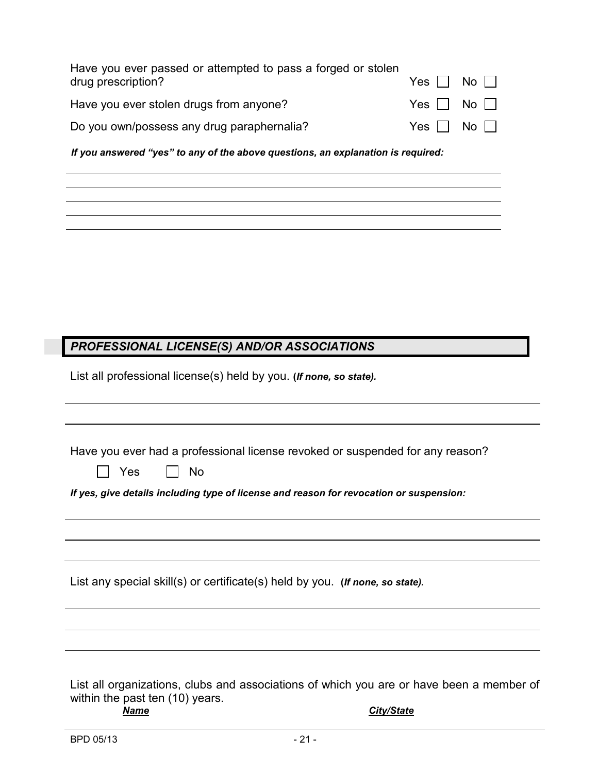| Have you ever passed or attempted to pass a forged or stolen<br>drug prescription? | $Yes \mid \mid No \mid \mid$ |  |
|------------------------------------------------------------------------------------|------------------------------|--|
| Have you ever stolen drugs from anyone?                                            | $Yes \Box No \Box$           |  |
| Do you own/possess any drug paraphernalia?                                         | $Yes \mid \mid No \sqcap$    |  |

*If you answered "yes" to any of the above questions, an explanation is required:*

#### *PROFESSIONAL LICENSE(S) AND/OR ASSOCIATIONS*

List all professional license(s) held by you. **(***If none, so state).*

|  | Have you ever had a professional license revoked or suspended for any reason? |  |
|--|-------------------------------------------------------------------------------|--|
|  |                                                                               |  |

| $\sim$ |  | ገ<br>- |
|--------|--|--------|
|--------|--|--------|

*If yes, give details including type of license and reason for revocation or suspension:*

|  | List any special skill(s) or certificate(s) held by you. (If none, so state). |  |
|--|-------------------------------------------------------------------------------|--|
|--|-------------------------------------------------------------------------------|--|

List all organizations, clubs and associations of which you are or have been a member of within the past ten  $(10)$  years.<br>**Name** 

*<u>City/State</u>*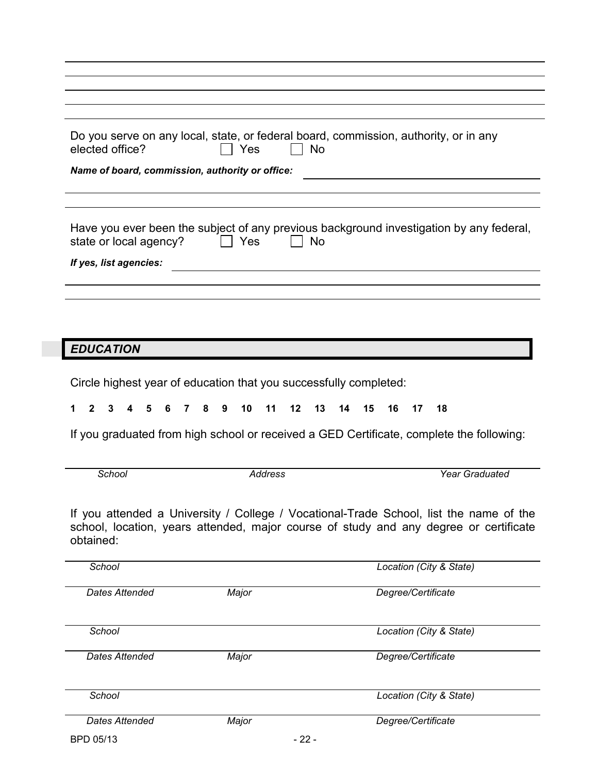| elected office?                                  | <b>No</b><br>Yes | Do you serve on any local, state, or federal board, commission, authority, or in any                                                                                                                                                                                                              |
|--------------------------------------------------|------------------|---------------------------------------------------------------------------------------------------------------------------------------------------------------------------------------------------------------------------------------------------------------------------------------------------|
| Name of board, commission, authority or office:  |                  |                                                                                                                                                                                                                                                                                                   |
| state or local agency?<br>If yes, list agencies: | Yes<br><b>No</b> | Have you ever been the subject of any previous background investigation by any federal,                                                                                                                                                                                                           |
|                                                  |                  |                                                                                                                                                                                                                                                                                                   |
|                                                  |                  |                                                                                                                                                                                                                                                                                                   |
| <b>EDUCATION</b>                                 |                  |                                                                                                                                                                                                                                                                                                   |
|                                                  |                  |                                                                                                                                                                                                                                                                                                   |
|                                                  |                  |                                                                                                                                                                                                                                                                                                   |
| School                                           | <b>Address</b>   | <b>Year Graduated</b>                                                                                                                                                                                                                                                                             |
| obtained:                                        |                  |                                                                                                                                                                                                                                                                                                   |
| School                                           |                  | Location (City & State)                                                                                                                                                                                                                                                                           |
| <b>Dates Attended</b>                            | Major            | Degree/Certificate                                                                                                                                                                                                                                                                                |
| School                                           |                  | Location (City & State)                                                                                                                                                                                                                                                                           |
| <b>Dates Attended</b>                            | Major            | If you graduated from high school or received a GED Certificate, complete the following:<br>If you attended a University / College / Vocational-Trade School, list the name of the<br>school, location, years attended, major course of study and any degree or certificate<br>Degree/Certificate |
| School                                           |                  | Location (City & State)                                                                                                                                                                                                                                                                           |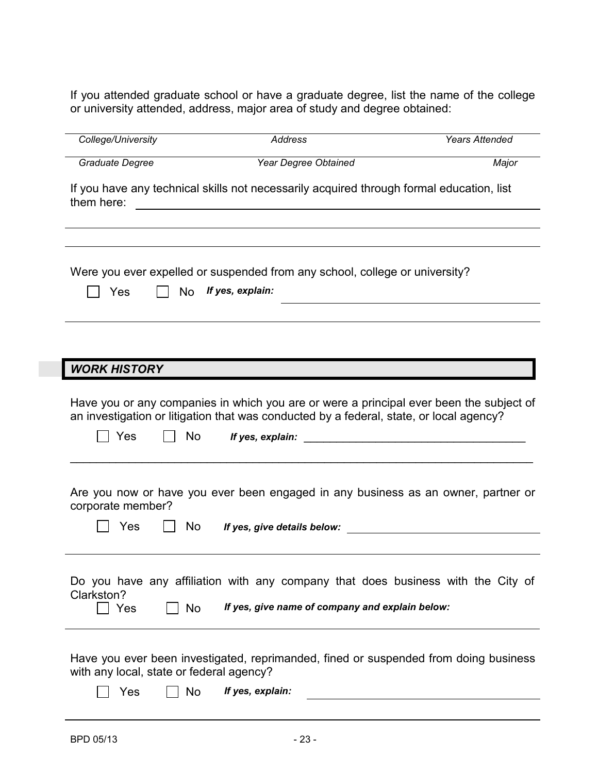If you attended graduate school or have a graduate degree, list the name of the college or university attended, address, major area of study and degree obtained:

| College/University                              |           | <b>Address</b>                                                                                                                                         | <b>Years Attended</b>                                                                   |
|-------------------------------------------------|-----------|--------------------------------------------------------------------------------------------------------------------------------------------------------|-----------------------------------------------------------------------------------------|
| Graduate Degree                                 |           | Year Degree Obtained                                                                                                                                   | Major                                                                                   |
| them here:                                      |           | If you have any technical skills not necessarily acquired through formal education, list<br><u> 1989 - Johann Stein, mars and de Britain (b. 1989)</u> |                                                                                         |
| Yes                                             | <b>No</b> | Were you ever expelled or suspended from any school, college or university?<br>If yes, explain:                                                        |                                                                                         |
|                                                 |           |                                                                                                                                                        |                                                                                         |
| <b>WORK HISTORY</b>                             |           |                                                                                                                                                        |                                                                                         |
| Yes                                             | No        | an investigation or litigation that was conducted by a federal, state, or local agency?<br>If yes, explain:                                            | Have you or any companies in which you are or were a principal ever been the subject of |
| corporate member?<br>Yes                        | No.       | If yes, give details below:                                                                                                                            | Are you now or have you ever been engaged in any business as an owner, partner or       |
|                                                 |           |                                                                                                                                                        |                                                                                         |
| Clarkston?<br>Yes                               | No        | If yes, give name of company and explain below:                                                                                                        | Do you have any affiliation with any company that does business with the City of        |
| with any local, state or federal agency?<br>Yes | <b>No</b> | If yes, explain:                                                                                                                                       | Have you ever been investigated, reprimanded, fined or suspended from doing business    |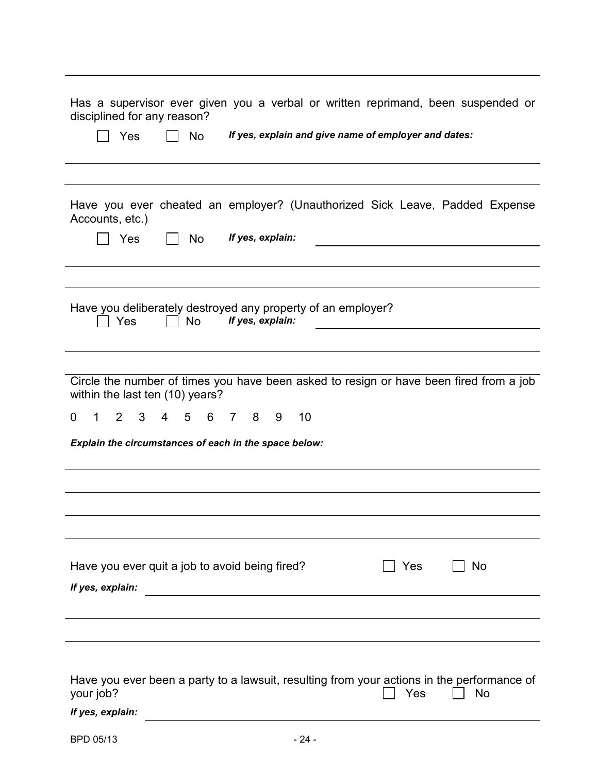| Has a supervisor ever given you a verbal or written reprimand, been suspended or<br>disciplined for any reason?<br>No<br>If yes, explain and give name of employer and dates:<br>Yes |
|--------------------------------------------------------------------------------------------------------------------------------------------------------------------------------------|
|                                                                                                                                                                                      |
| Have you ever cheated an employer? (Unauthorized Sick Leave, Padded Expense<br>Accounts, etc.)<br>If yes, explain:<br>Yes<br><b>No</b>                                               |
|                                                                                                                                                                                      |
|                                                                                                                                                                                      |
| Have you deliberately destroyed any property of an employer?<br>If yes, explain:<br>$\Box$ Yes<br><b>No</b>                                                                          |
|                                                                                                                                                                                      |
| Circle the number of times you have been asked to resign or have been fired from a job<br>within the last ten (10) years?                                                            |
| 6 7 8<br>10<br>$\overline{2}$<br>3<br>$5 -$<br>0<br>4<br>9<br>1                                                                                                                      |
| Explain the circumstances of each in the space below:                                                                                                                                |
|                                                                                                                                                                                      |
|                                                                                                                                                                                      |
|                                                                                                                                                                                      |
| Have you ever quit a job to avoid being fired?<br>No<br>Yes<br>If yes, explain:                                                                                                      |
|                                                                                                                                                                                      |
|                                                                                                                                                                                      |
| Have you ever been a party to a lawsuit, resulting from your actions in the performance of<br>your job?<br><b>No</b><br>Yes<br>If yes, explain:                                      |
| BPD 05/13<br>$-24-$                                                                                                                                                                  |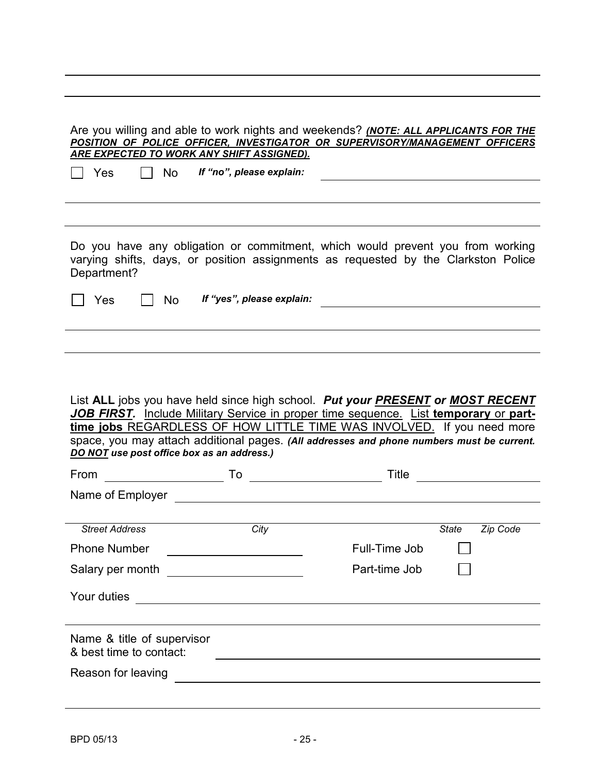| <b>No</b><br>Yes                                      | <u>ARE EXPECTED TO WORK ANY SHIFT ASSIGNED).</u><br>If "no", please explain: | Are you willing and able to work nights and weekends? <i>(NOTE: ALL APPLICANTS FOR THE</i><br>POSITION OF POLICE OFFICER, INVESTIGATOR OR SUPERVISORY/MANAGEMENT OFFICERS                                                                                                                                                                     |                          |
|-------------------------------------------------------|------------------------------------------------------------------------------|-----------------------------------------------------------------------------------------------------------------------------------------------------------------------------------------------------------------------------------------------------------------------------------------------------------------------------------------------|--------------------------|
|                                                       |                                                                              |                                                                                                                                                                                                                                                                                                                                               |                          |
| Department?                                           |                                                                              | Do you have any obligation or commitment, which would prevent you from working<br>varying shifts, days, or position assignments as requested by the Clarkston Police                                                                                                                                                                          |                          |
| Yes<br><b>No</b>                                      | If "yes", please explain:                                                    |                                                                                                                                                                                                                                                                                                                                               |                          |
|                                                       |                                                                              |                                                                                                                                                                                                                                                                                                                                               |                          |
|                                                       |                                                                              |                                                                                                                                                                                                                                                                                                                                               |                          |
|                                                       | DO NOT use post office box as an address.)                                   | List ALL jobs you have held since high school. Put your PRESENT or MOST RECENT<br>JOB FIRST. Include Military Service in proper time sequence. List temporary or part-<br>time jobs REGARDLESS OF HOW LITTLE TIME WAS INVOLVED. If you need more<br>space, you may attach additional pages. (All addresses and phone numbers must be current. |                          |
| From                                                  | To                                                                           | Title                                                                                                                                                                                                                                                                                                                                         |                          |
| Name of Employer                                      |                                                                              |                                                                                                                                                                                                                                                                                                                                               |                          |
|                                                       |                                                                              |                                                                                                                                                                                                                                                                                                                                               |                          |
| <b>Street Address</b>                                 | City                                                                         |                                                                                                                                                                                                                                                                                                                                               | <b>State</b><br>Zip Code |
| <b>Phone Number</b>                                   |                                                                              | Full-Time Job                                                                                                                                                                                                                                                                                                                                 |                          |
| Salary per month                                      | <u> 1980 - Johann Barbara, martxa alemaniar a</u>                            | Part-time Job                                                                                                                                                                                                                                                                                                                                 |                          |
| Your duties                                           | <u> 1980 - Johann Barbara, martxa alemaniar arg</u>                          |                                                                                                                                                                                                                                                                                                                                               |                          |
| Name & title of supervisor<br>& best time to contact: |                                                                              |                                                                                                                                                                                                                                                                                                                                               |                          |
| Reason for leaving                                    |                                                                              |                                                                                                                                                                                                                                                                                                                                               |                          |
|                                                       |                                                                              |                                                                                                                                                                                                                                                                                                                                               |                          |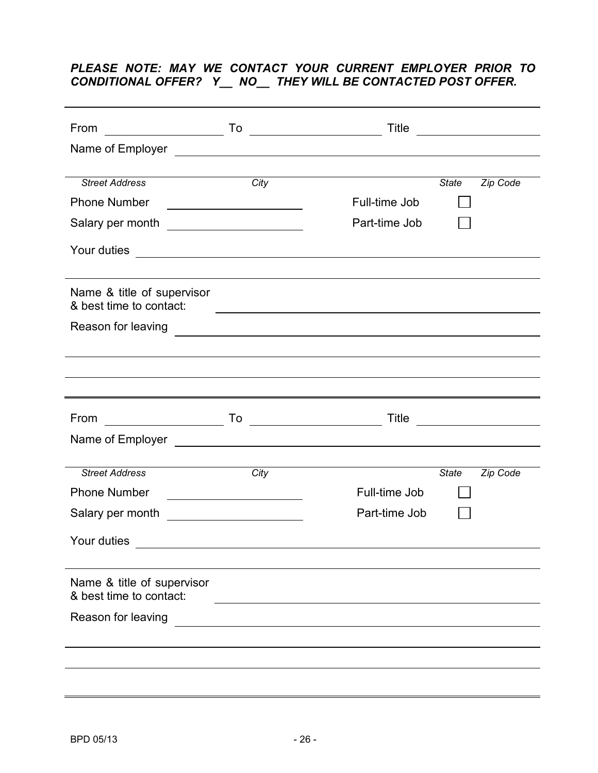#### *PLEASE NOTE: MAY WE CONTACT YOUR CURRENT EMPLOYER PRIOR TO CONDITIONAL OFFER? Y\_\_ NO\_\_ THEY WILL BE CONTACTED POST OFFER.*

| From                                                  |                                                                                                                      | Title         |              |          |
|-------------------------------------------------------|----------------------------------------------------------------------------------------------------------------------|---------------|--------------|----------|
|                                                       |                                                                                                                      |               |              |          |
|                                                       |                                                                                                                      |               |              |          |
| <b>Street Address</b>                                 | City                                                                                                                 |               | <b>State</b> | Zip Code |
| <b>Phone Number</b>                                   | <u> Alexandria (m. 1888)</u>                                                                                         | Full-time Job |              |          |
|                                                       |                                                                                                                      | Part-time Job |              |          |
| Your duties                                           | <u> Alexandria de la contrada de la contrada de la contrada de la contrada de la contrada de la contrada de la c</u> |               |              |          |
|                                                       |                                                                                                                      |               |              |          |
| Name & title of supervisor<br>& best time to contact: | <u> 1980 - Johann Barn, fransk politik amerikansk politik (d. 1980)</u>                                              |               |              |          |
|                                                       |                                                                                                                      |               |              |          |
|                                                       |                                                                                                                      |               |              |          |
|                                                       |                                                                                                                      |               |              |          |
|                                                       |                                                                                                                      |               |              |          |
| From                                                  |                                                                                                                      |               |              |          |
|                                                       |                                                                                                                      |               |              |          |
|                                                       |                                                                                                                      |               |              |          |
| <b>Street Address</b>                                 | City                                                                                                                 |               | <b>State</b> | Zip Code |
| <b>Phone Number</b>                                   |                                                                                                                      | Full-time Job |              |          |
| Salary per month                                      |                                                                                                                      | Part-time Job |              |          |
| Your duties                                           |                                                                                                                      |               |              |          |
|                                                       |                                                                                                                      |               |              |          |
| Name & title of supervisor<br>& best time to contact: |                                                                                                                      |               |              |          |
| Reason for leaving                                    |                                                                                                                      |               |              |          |
|                                                       |                                                                                                                      |               |              |          |
|                                                       |                                                                                                                      |               |              |          |
|                                                       |                                                                                                                      |               |              |          |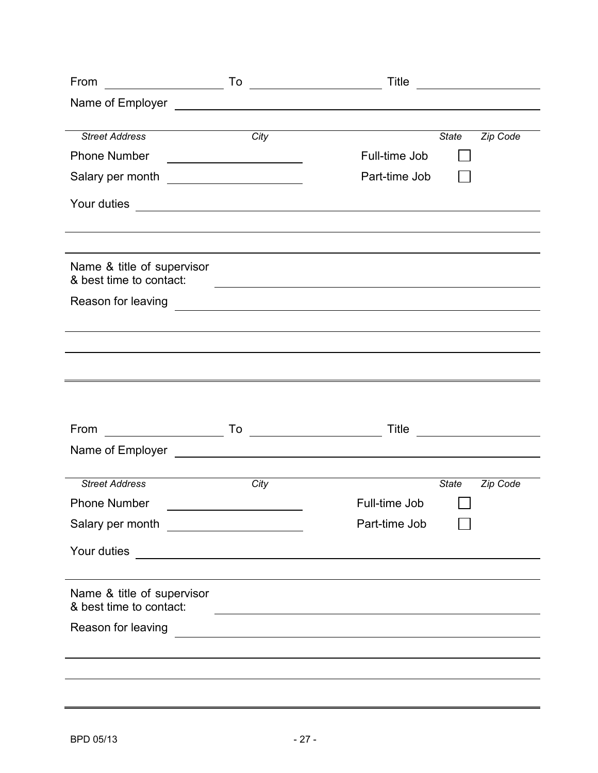| From                                                  |                                                                                                                      | Title         |              | <u> 1989 - Jan Samuel Barbara, politik eta politik eta politik eta politik eta politik eta politik eta politik e</u> |
|-------------------------------------------------------|----------------------------------------------------------------------------------------------------------------------|---------------|--------------|----------------------------------------------------------------------------------------------------------------------|
|                                                       |                                                                                                                      |               |              |                                                                                                                      |
|                                                       |                                                                                                                      |               |              |                                                                                                                      |
| <b>Street Address</b>                                 | City                                                                                                                 |               | <b>State</b> | Zip Code                                                                                                             |
| <b>Phone Number</b>                                   | <u> Alexandria de la contrada de la contrada de la contrada de la contrada de la contrada de la contrada de la c</u> | Full-time Job |              |                                                                                                                      |
|                                                       |                                                                                                                      | Part-time Job |              |                                                                                                                      |
| Your duties                                           |                                                                                                                      |               |              |                                                                                                                      |
|                                                       |                                                                                                                      |               |              |                                                                                                                      |
| Name & title of supervisor<br>& best time to contact: | <u> 1989 - Johann Stoff, amerikansk politiker (d. 1989)</u>                                                          |               |              |                                                                                                                      |
| Reason for leaving                                    |                                                                                                                      |               |              |                                                                                                                      |
|                                                       |                                                                                                                      |               |              |                                                                                                                      |
|                                                       |                                                                                                                      |               |              |                                                                                                                      |
|                                                       |                                                                                                                      |               |              |                                                                                                                      |
|                                                       |                                                                                                                      |               |              |                                                                                                                      |
| From                                                  | $\begin{array}{ c c c }\n\hline\n\text{To} & \text{---} & \text{---} & \text{---} \end{array}$                       | Title         |              |                                                                                                                      |
| Name of Employer                                      |                                                                                                                      |               |              |                                                                                                                      |
|                                                       |                                                                                                                      |               |              |                                                                                                                      |
| <b>Street Address</b>                                 | City                                                                                                                 |               | <b>State</b> | Zip Code                                                                                                             |
| <b>Phone Number</b>                                   |                                                                                                                      | Full-time Job |              |                                                                                                                      |
|                                                       |                                                                                                                      | Part-time Job |              |                                                                                                                      |
| Your duties                                           | <u> 1980 - John Stein, Amerikaansk politiker (</u>                                                                   |               |              |                                                                                                                      |
|                                                       |                                                                                                                      |               |              |                                                                                                                      |
| Name & title of supervisor<br>& best time to contact: |                                                                                                                      |               |              |                                                                                                                      |
| Reason for leaving                                    |                                                                                                                      |               |              |                                                                                                                      |
|                                                       |                                                                                                                      |               |              |                                                                                                                      |
|                                                       |                                                                                                                      |               |              |                                                                                                                      |
|                                                       |                                                                                                                      |               |              |                                                                                                                      |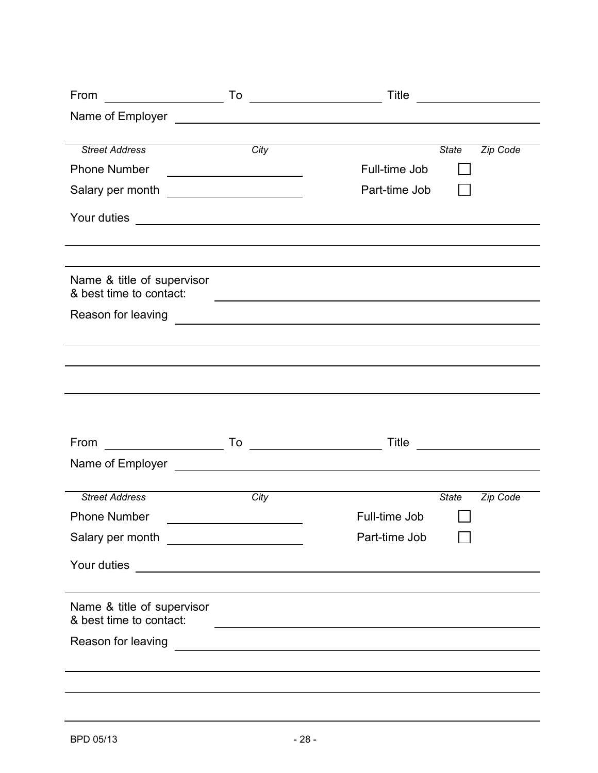| From                                                                                                                                                                                                                                   |                                                                                                                       | Title         |              |          |
|----------------------------------------------------------------------------------------------------------------------------------------------------------------------------------------------------------------------------------------|-----------------------------------------------------------------------------------------------------------------------|---------------|--------------|----------|
| Name of Employer<br><u>Letter and the set of the set of the set of the set of the set of the set of the set of the set of the set of the set of the set of the set of the set of the set of the set of the set of the set of the s</u> |                                                                                                                       |               |              |          |
|                                                                                                                                                                                                                                        |                                                                                                                       |               |              |          |
| <b>Street Address</b>                                                                                                                                                                                                                  | City                                                                                                                  |               | <b>State</b> | Zip Code |
| <b>Phone Number</b>                                                                                                                                                                                                                    | <u> 1980 - Johann Barn, fransk politik (</u>                                                                          | Full-time Job |              |          |
|                                                                                                                                                                                                                                        |                                                                                                                       | Part-time Job |              |          |
| Your duties                                                                                                                                                                                                                            |                                                                                                                       |               |              |          |
|                                                                                                                                                                                                                                        |                                                                                                                       |               |              |          |
| Name & title of supervisor<br>& best time to contact:                                                                                                                                                                                  | <u> Alexandria de la contrada de la contrada de la contrada de la contrada de la contrada de la contrada de la c</u>  |               |              |          |
|                                                                                                                                                                                                                                        |                                                                                                                       |               |              |          |
|                                                                                                                                                                                                                                        |                                                                                                                       |               |              |          |
|                                                                                                                                                                                                                                        |                                                                                                                       |               |              |          |
|                                                                                                                                                                                                                                        |                                                                                                                       |               |              |          |
|                                                                                                                                                                                                                                        |                                                                                                                       |               |              |          |
| <u> 1990 - Johann Barnett, fransk politiker</u><br>From                                                                                                                                                                                |                                                                                                                       | Title         |              |          |
| Name of Employer Law and Contract and Contract of Employer                                                                                                                                                                             |                                                                                                                       |               |              |          |
|                                                                                                                                                                                                                                        |                                                                                                                       |               |              |          |
| <b>Street Address</b>                                                                                                                                                                                                                  | City                                                                                                                  |               | <b>State</b> | Zip Code |
| <b>Phone Number</b>                                                                                                                                                                                                                    |                                                                                                                       | Full-time Job |              |          |
| Salary per month _______________________                                                                                                                                                                                               |                                                                                                                       | Part-time Job |              |          |
| Your duties                                                                                                                                                                                                                            |                                                                                                                       |               |              |          |
|                                                                                                                                                                                                                                        |                                                                                                                       |               |              |          |
| Name & title of supervisor<br>& best time to contact:                                                                                                                                                                                  |                                                                                                                       |               |              |          |
| Reason for leaving                                                                                                                                                                                                                     | <u>and the state of the state of the state of the state of the state of the state of the state of the state of th</u> |               |              |          |
|                                                                                                                                                                                                                                        |                                                                                                                       |               |              |          |
|                                                                                                                                                                                                                                        |                                                                                                                       |               |              |          |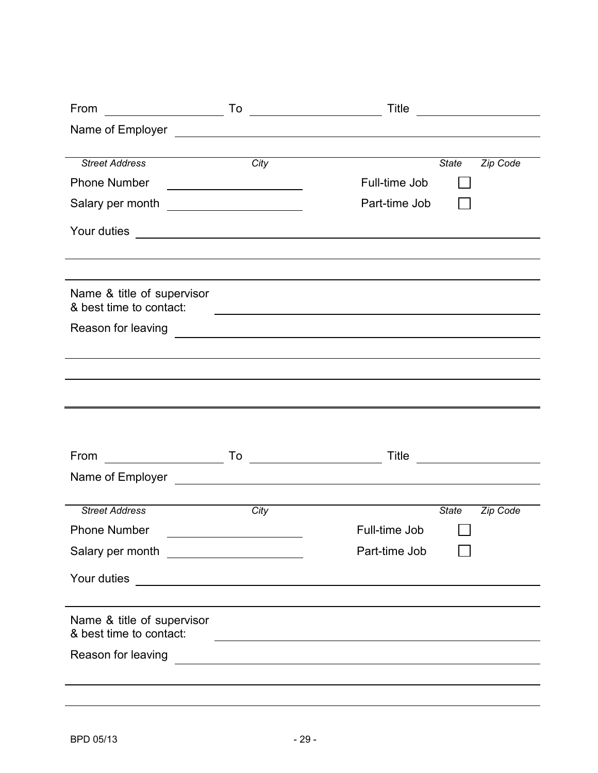| From                                                  | To<br><u> 1980 - Johann Barnett, fransk politik (</u>                                                                 | Title         |              |          |
|-------------------------------------------------------|-----------------------------------------------------------------------------------------------------------------------|---------------|--------------|----------|
| Name of Employer                                      | <u> 1980 - Andrea Andrew Maria (h. 1980).</u>                                                                         |               |              |          |
|                                                       |                                                                                                                       |               |              |          |
| <b>Street Address</b>                                 | City                                                                                                                  |               | <b>State</b> | Zip Code |
| <b>Phone Number</b>                                   | <u> 1980 - Johann Barbara, martin amerikan ba</u>                                                                     | Full-time Job |              |          |
| Salary per month                                      | <u> Albanya (Albanya) a shekara tsa</u>                                                                               | Part-time Job |              |          |
| Your duties                                           | <u> 1989 - Johann Stoff, Amerikaansk politiker († 1908)</u>                                                           |               |              |          |
|                                                       |                                                                                                                       |               |              |          |
| Name & title of supervisor<br>& best time to contact: |                                                                                                                       |               |              |          |
| Reason for leaving                                    | <u> 1980 - Andrea Andrew Maria (h. 1980).</u>                                                                         |               |              |          |
|                                                       |                                                                                                                       |               |              |          |
|                                                       |                                                                                                                       |               |              |          |
|                                                       |                                                                                                                       |               |              |          |
|                                                       |                                                                                                                       |               |              |          |
|                                                       |                                                                                                                       |               |              |          |
| From                                                  | <u> 1980 - Johann Barbara, martin d</u><br>To                                                                         | Title         |              |          |
| Name of Employer                                      | <u> 1989 - Jan Samuel Barbara, margaret eta idazlearia (h. 1982).</u>                                                 |               |              |          |
|                                                       |                                                                                                                       |               |              |          |
| <b>Street Address</b>                                 | City                                                                                                                  |               | <b>State</b> | Zip Code |
| <b>Phone Number</b>                                   |                                                                                                                       | Full-time Job |              |          |
|                                                       |                                                                                                                       | Part-time Job |              |          |
| Your duties                                           | <u> 2008 - An Dùbhlachd ann an Dùbhlachd ann an Dùbhlachd ann an Dùbhlachd ann an Dùbhlachd ann an Dùbhlachd ann </u> |               |              |          |
|                                                       |                                                                                                                       |               |              |          |
| Name & title of supervisor<br>& best time to contact: |                                                                                                                       |               |              |          |
| Reason for leaving                                    | <u> 1989 - Jan Samuel Barbara, martin a shekara 1989 - An tsara 1989 - An tsara 1989 - An tsara 1989 - An tsara 1</u> |               |              |          |
|                                                       |                                                                                                                       |               |              |          |
|                                                       |                                                                                                                       |               |              |          |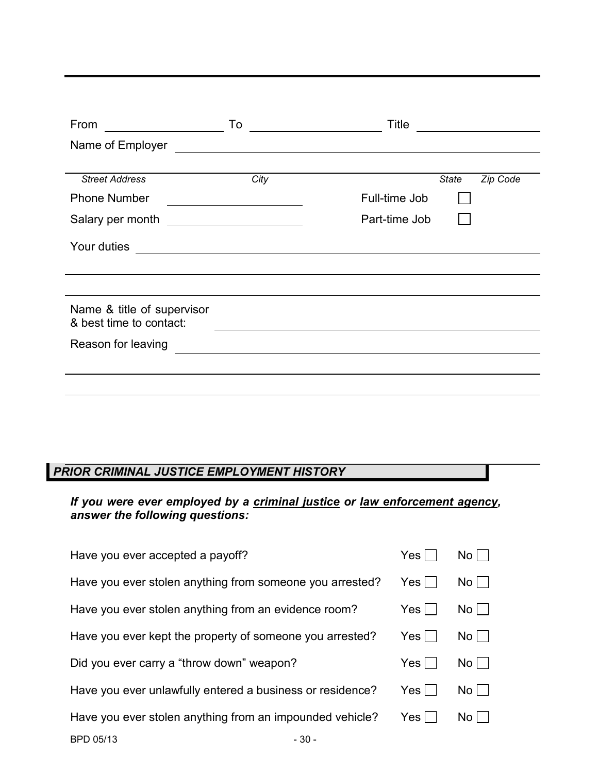| From                                                  | To                                                                                        | Title                    |
|-------------------------------------------------------|-------------------------------------------------------------------------------------------|--------------------------|
| Name of Employer                                      | <u> 1980 - John Stein, Amerikaansk politiker (</u> † 1920)                                |                          |
|                                                       |                                                                                           |                          |
| <b>Street Address</b>                                 | City                                                                                      | Zip Code<br><b>State</b> |
| <b>Phone Number</b>                                   |                                                                                           | Full-time Job            |
| Salary per month                                      | <u> 1989 - Andrea Andrew Maria (b. 1989)</u>                                              | Part-time Job            |
| Your duties                                           | the control of the control of the control of the control of the control of the control of |                          |
|                                                       |                                                                                           |                          |
|                                                       |                                                                                           |                          |
| Name & title of supervisor<br>& best time to contact: |                                                                                           |                          |
| Reason for leaving                                    |                                                                                           |                          |
|                                                       |                                                                                           |                          |
|                                                       |                                                                                           |                          |

## *PRIOR CRIMINAL JUSTICE EMPLOYMENT HISTORY*

#### *If you were ever employed by a criminal justice or law enforcement agency, answer the following questions:*

| Have you ever accepted a payoff?                          | Yes l      | No II |
|-----------------------------------------------------------|------------|-------|
| Have you ever stolen anything from someone you arrested?  | Yes        | $No$  |
| Have you ever stolen anything from an evidence room?      | Yes l      | $No$  |
| Have you ever kept the property of someone you arrested?  | Yes        | $No$  |
| Did you ever carry a "throw down" weapon?                 | Yes        | No I  |
| Have you ever unlawfully entered a business or residence? | Yes $\mid$ | No    |
| Have you ever stolen anything from an impounded vehicle?  | Yes        | No L  |
| BPD 05/13<br>- 30 -                                       |            |       |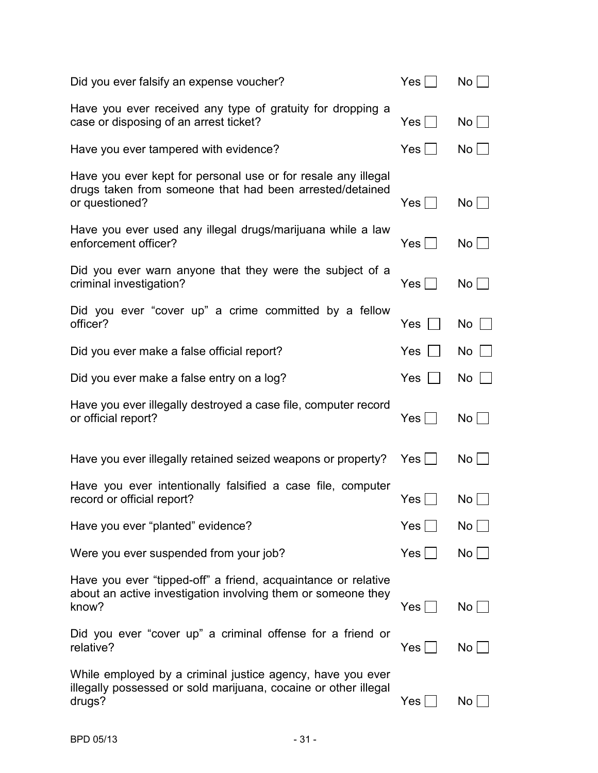| Did you ever falsify an expense voucher?                                                                                                    | $Yes \mid \mid$ | No          |
|---------------------------------------------------------------------------------------------------------------------------------------------|-----------------|-------------|
| Have you ever received any type of gratuity for dropping a<br>case or disposing of an arrest ticket?                                        | $Yes \mid \mid$ | $No$        |
| Have you ever tampered with evidence?                                                                                                       | $Yes \mid \mid$ | $No$        |
| Have you ever kept for personal use or for resale any illegal<br>drugs taken from someone that had been arrested/detained<br>or questioned? | Yes $\Box$      | $No$        |
| Have you ever used any illegal drugs/marijuana while a law<br>enforcement officer?                                                          | $Yes \mid \mid$ | $No$        |
| Did you ever warn anyone that they were the subject of a<br>criminal investigation?                                                         | $Yes \Box$      | No          |
| Did you ever "cover up" a crime committed by a fellow<br>officer?                                                                           | Yes             | $No$ $\Box$ |
| Did you ever make a false official report?                                                                                                  | <b>Yes</b>      | $No$        |
| Did you ever make a false entry on a log?                                                                                                   | Yes             | $No$        |
| Have you ever illegally destroyed a case file, computer record<br>or official report?                                                       | Yes             | $No$        |
| Have you ever illegally retained seized weapons or property?                                                                                | Yes             | $No$        |
| Have you ever intentionally falsified a case file, computer<br>record or official report?                                                   | Yes $ $         | No          |
| Have you ever "planted" evidence?                                                                                                           | Yes             | No          |
| Were you ever suspended from your job?                                                                                                      | $Yes \Box$      | $No$        |
| Have you ever "tipped-off" a friend, acquaintance or relative<br>about an active investigation involving them or someone they<br>know?      | Yes             | $No$        |
| Did you ever "cover up" a criminal offense for a friend or<br>relative?                                                                     | Yes∣∣           | No          |
| While employed by a criminal justice agency, have you ever<br>illegally possessed or sold marijuana, cocaine or other illegal<br>drugs?     | Yes             | No.         |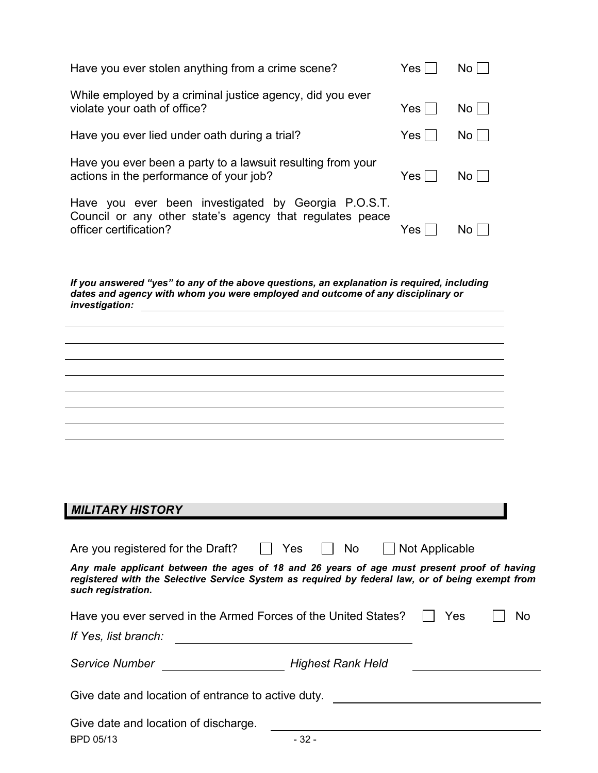| Have you ever stolen anything from a crime scene?                                                                                                                                                                    | Yes            | No <sub>1</sub>                                                                                                       |
|----------------------------------------------------------------------------------------------------------------------------------------------------------------------------------------------------------------------|----------------|-----------------------------------------------------------------------------------------------------------------------|
| While employed by a criminal justice agency, did you ever<br>violate your oath of office?                                                                                                                            | Yes            | No                                                                                                                    |
| Have you ever lied under oath during a trial?                                                                                                                                                                        | $Yes$          | $No$                                                                                                                  |
| Have you ever been a party to a lawsuit resulting from your<br>actions in the performance of your job?                                                                                                               | Yes            | No                                                                                                                    |
| Have you ever been investigated by Georgia P.O.S.T.<br>Council or any other state's agency that regulates peace<br>officer certification?                                                                            | Yes            | $No$ $\Box$                                                                                                           |
| If you answered "yes" to any of the above questions, an explanation is required, including<br>dates and agency with whom you were employed and outcome of any disciplinary or<br>investigation:                      |                |                                                                                                                       |
|                                                                                                                                                                                                                      |                |                                                                                                                       |
|                                                                                                                                                                                                                      |                |                                                                                                                       |
|                                                                                                                                                                                                                      |                |                                                                                                                       |
|                                                                                                                                                                                                                      |                |                                                                                                                       |
|                                                                                                                                                                                                                      |                |                                                                                                                       |
|                                                                                                                                                                                                                      |                |                                                                                                                       |
| <b>MILITARY HISTORY</b>                                                                                                                                                                                              |                |                                                                                                                       |
|                                                                                                                                                                                                                      |                |                                                                                                                       |
| $\vert \vert$ Yes<br>    No<br>Are you registered for the Draft?                                                                                                                                                     | Not Applicable |                                                                                                                       |
| Any male applicant between the ages of 18 and 26 years of age must present proof of having<br>registered with the Selective Service System as required by federal law, or of being exempt from<br>such registration. |                |                                                                                                                       |
| Have you ever served in the Armed Forces of the United States?                                                                                                                                                       |                | Yes<br><b>No</b>                                                                                                      |
| If Yes, list branch:<br><u> Alexandria de la construcción de la construcción de la construcción de la construcción de la construcción de l</u>                                                                       |                |                                                                                                                       |
| Service Number                                                                                                                                                                                                       |                |                                                                                                                       |
| Give date and location of entrance to active duty. _____________________________                                                                                                                                     |                |                                                                                                                       |
| Give date and location of discharge.                                                                                                                                                                                 |                |                                                                                                                       |
| $-32-$<br>BPD 05/13                                                                                                                                                                                                  |                | <u> 1980 - Johann Barn, mars ann an t-Amhain Aonaichte ann an t-Amhain Aonaichte ann an t-Amhain Aonaichte ann an</u> |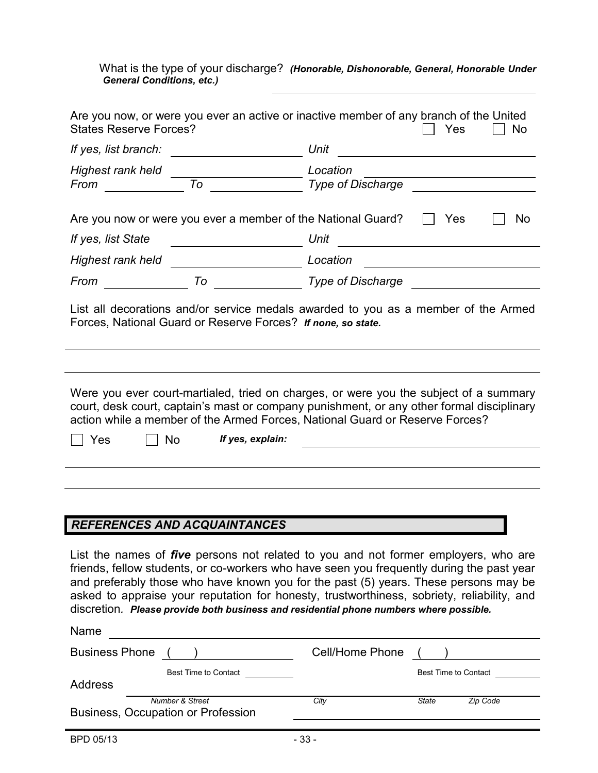What is the type of your discharge? *(Honorable, Dishonorable, General, Honorable Under General Conditions, etc.)* 

| <b>States Reserve Forces?</b>              | Are you now, or were you ever an active or inactive member of any branch of the United<br>Yes<br>No                                                                                                                                                                                    |
|--------------------------------------------|----------------------------------------------------------------------------------------------------------------------------------------------------------------------------------------------------------------------------------------------------------------------------------------|
| If yes, list branch:                       | Unit                                                                                                                                                                                                                                                                                   |
| Highest rank held<br>To<br>From            | Location<br><b>Type of Discharge</b>                                                                                                                                                                                                                                                   |
|                                            | Are you now or were you ever a member of the National Guard?<br>Yes<br><b>No</b>                                                                                                                                                                                                       |
| If yes, list State                         | Unit<br><u> 1989 - Andrea Station Books, amerikansk politik (</u>                                                                                                                                                                                                                      |
| Highest rank held ________________________ | Location                                                                                                                                                                                                                                                                               |
| To<br>From                                 | <b>Type of Discharge</b>                                                                                                                                                                                                                                                               |
|                                            | List all decorations and/or service medals awarded to you as a member of the Armed<br>Forces, National Guard or Reserve Forces? If none, so state.                                                                                                                                     |
| <b>No</b><br>Yes                           | Were you ever court-martialed, tried on charges, or were you the subject of a summary<br>court, desk court, captain's mast or company punishment, or any other formal disciplinary<br>action while a member of the Armed Forces, National Guard or Reserve Forces?<br>If yes, explain: |
|                                            |                                                                                                                                                                                                                                                                                        |
|                                            |                                                                                                                                                                                                                                                                                        |
|                                            |                                                                                                                                                                                                                                                                                        |
| <b>REFERENCES AND ACQUAINTANCES</b>        |                                                                                                                                                                                                                                                                                        |

List the names of *five* persons not related to you and not former employers, who are friends, fellow students, or co-workers who have seen you frequently during the past year and preferably those who have known you for the past (5) years. These persons may be asked to appraise your reputation for honesty, trustworthiness, sobriety, reliability, and discretion*. Please provide both business and residential phone numbers where possible.*

| Name                                                             |                 |              |                      |
|------------------------------------------------------------------|-----------------|--------------|----------------------|
| <b>Business Phone</b>                                            | Cell/Home Phone |              |                      |
| Best Time to Contact<br><b>Address</b>                           |                 |              | Best Time to Contact |
| <b>Number &amp; Street</b><br>Business, Occupation or Profession | City            | <b>State</b> | Zip Code             |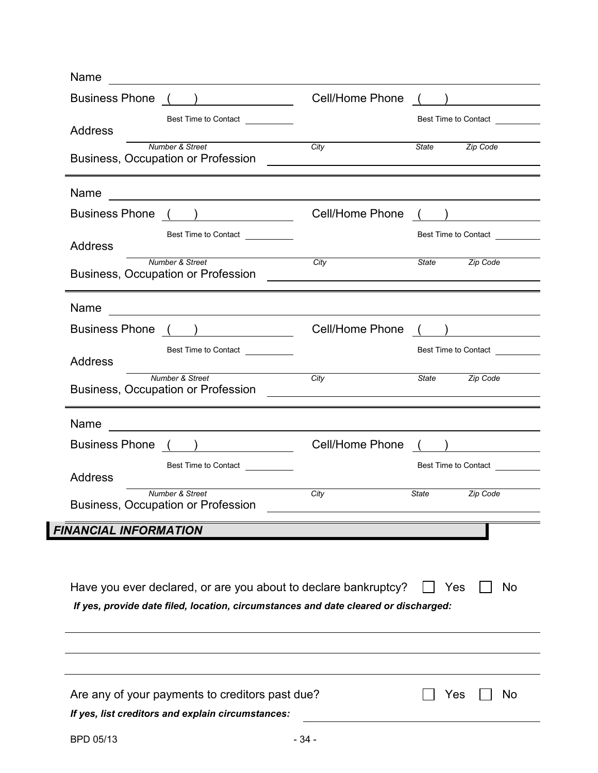| <b>Cell/Home Phone</b>                                                                                                                                 |                                                                                                                        |
|--------------------------------------------------------------------------------------------------------------------------------------------------------|------------------------------------------------------------------------------------------------------------------------|
|                                                                                                                                                        | Best Time to Contact                                                                                                   |
| City<br><u> 1980 - Jan Samuel Barbara, martin a shekara tshkollari ta 1980 - Andrea Samuel Barbara a shekara tshkollari</u>                            | State <b>Zip Code</b>                                                                                                  |
|                                                                                                                                                        |                                                                                                                        |
| Cell/Home Phone                                                                                                                                        |                                                                                                                        |
|                                                                                                                                                        | Best Time to Contact                                                                                                   |
| City<br><u> 1980 - Johann John Stein, fransk politik (f. 1980)</u>                                                                                     | State <b>Zip Code</b>                                                                                                  |
|                                                                                                                                                        |                                                                                                                        |
| Cell/Home Phone                                                                                                                                        |                                                                                                                        |
|                                                                                                                                                        | Best Time to Contact<br><u>Lateral Manuscriptographs</u>                                                               |
| City<br><u> 1989 - John Stein, Amerikaansk politiker (* 1918)</u>                                                                                      | Zip Code<br><b>State</b>                                                                                               |
|                                                                                                                                                        |                                                                                                                        |
| <b>Cell/Home Phone</b>                                                                                                                                 |                                                                                                                        |
|                                                                                                                                                        | Best Time to Contact                                                                                                   |
| City                                                                                                                                                   | State<br>Zip Code                                                                                                      |
|                                                                                                                                                        |                                                                                                                        |
|                                                                                                                                                        |                                                                                                                        |
| Have you ever declared, or are you about to declare bankruptcy?<br>If yes, provide date filed, location, circumstances and date cleared or discharged: | Yes<br><b>No</b>                                                                                                       |
|                                                                                                                                                        |                                                                                                                        |
|                                                                                                                                                        |                                                                                                                        |
| Are any of your payments to creditors past due?                                                                                                        | Yes<br><b>No</b>                                                                                                       |
|                                                                                                                                                        | <u> 1989 - Johann Barn, mars ann an t-Amhain ann an t-Amhain ann an t-Amhain ann an t-Amhain an t-Amhain ann an t-</u> |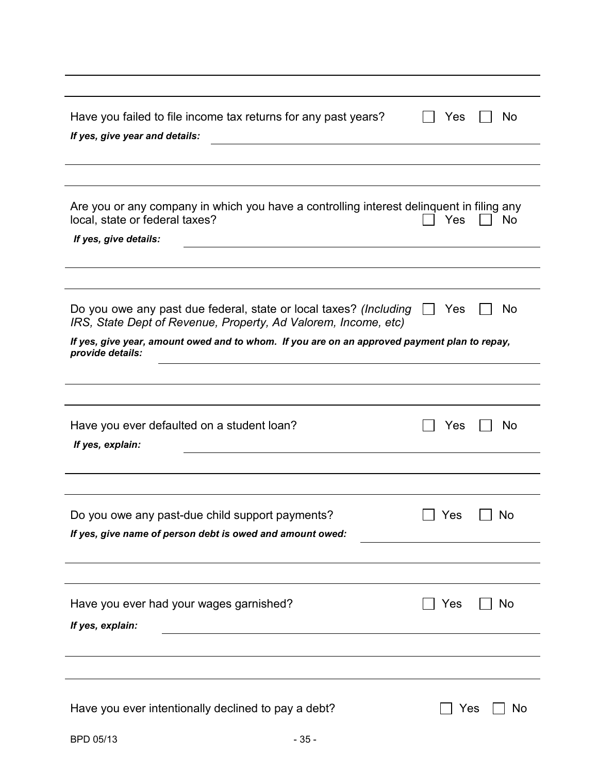| Have you failed to file income tax returns for any past years?<br>If yes, give year and details:                                    | Yes            | No            |
|-------------------------------------------------------------------------------------------------------------------------------------|----------------|---------------|
|                                                                                                                                     |                |               |
|                                                                                                                                     |                |               |
| Are you or any company in which you have a controlling interest delinquent in filing any<br>local, state or federal taxes?          | Yes            | No            |
| If yes, give details:                                                                                                               |                |               |
|                                                                                                                                     |                |               |
|                                                                                                                                     |                |               |
| Do you owe any past due federal, state or local taxes? (Including<br>IRS, State Dept of Revenue, Property, Ad Valorem, Income, etc) | Yes<br>$\perp$ | No            |
| If yes, give year, amount owed and to whom. If you are on an approved payment plan to repay,<br>provide details:                    |                |               |
|                                                                                                                                     |                |               |
|                                                                                                                                     |                |               |
|                                                                                                                                     |                |               |
| Have you ever defaulted on a student loan?<br>If yes, explain:                                                                      | Yes            | No            |
|                                                                                                                                     |                |               |
|                                                                                                                                     |                |               |
|                                                                                                                                     |                |               |
| Do you owe any past-due child support payments?                                                                                     |                | Yes $\Box$ No |
| If yes, give name of person debt is owed and amount owed:                                                                           |                |               |
|                                                                                                                                     |                |               |
|                                                                                                                                     |                |               |
| Have you ever had your wages garnished?                                                                                             | Yes            | No            |
| If yes, explain:                                                                                                                    |                |               |
|                                                                                                                                     |                |               |
|                                                                                                                                     |                |               |
|                                                                                                                                     |                |               |
| Have you ever intentionally declined to pay a debt?                                                                                 | Yes            | No            |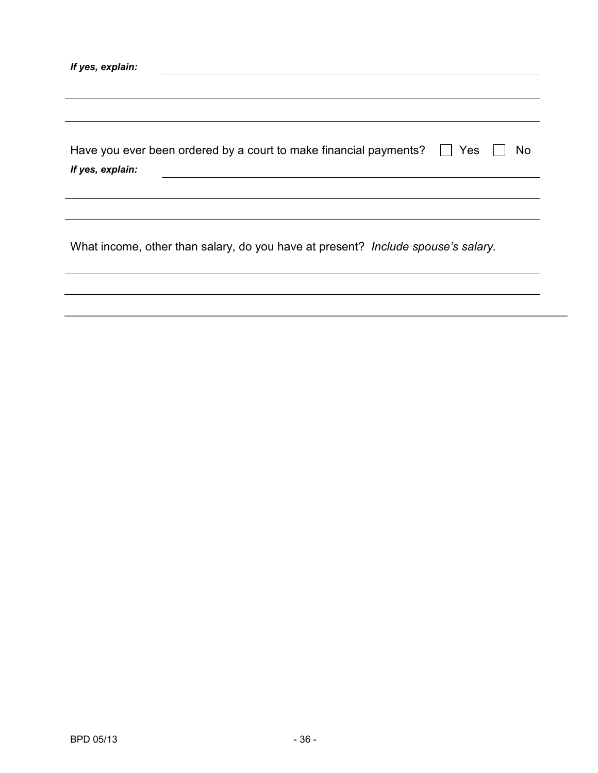| Have you ever been ordered by a court to make financial payments? $\Box$ Yes $\Box$ No |  |
|----------------------------------------------------------------------------------------|--|
| If yes, explain:                                                                       |  |

What income, other than salary, do you have at present? *Include spouse's salary.*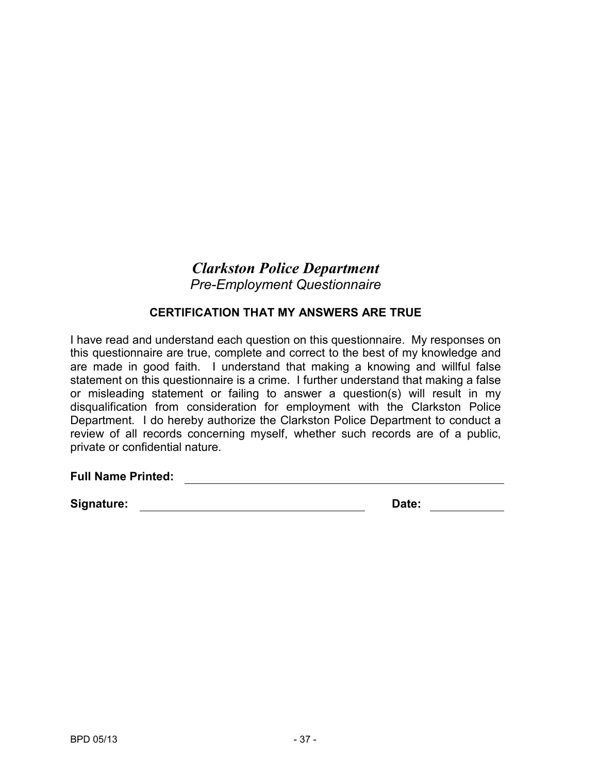## *Clarkston Police Department Pre-Employment Questionnaire*

#### **CERTIFICATION THAT MY ANSWERS ARE TRUE**

I have read and understand each question on this questionnaire. My responses on this questionnaire are true, complete and correct to the best of my knowledge and are made in good faith. I understand that making a knowing and willful false statement on this questionnaire is a crime. I further understand that making a false or misleading statement or failing to answer a question(s) will result in my disqualification from consideration for employment with the Clarkston Police Department. I do hereby authorize the Clarkston Police Department to conduct a review of all records concerning myself, whether such records are of a public, private or confidential nature.

#### **Full Name Printed:**

**Signature: Date: Date: Date: Date: Date: Date: Date: Date: Date: Date: Date: Date: Date: Date: Date: Date: Date: Date: Date: Date: Date: Date: Date: Date: Date: Date:**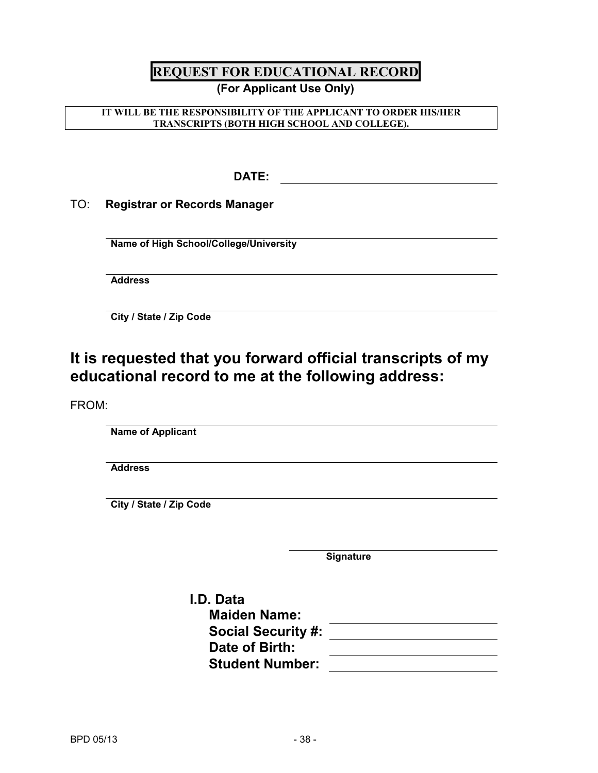## **REQUEST FOR EDUCATIONAL RECORD**

#### **(For Applicant Use Only)**

#### **IT WILL BE THE RESPONSIBILITY OF THE APPLICANT TO ORDER HIS/HER TRANSCRIPTS (BOTH HIGH SCHOOL AND COLLEGE).**

**DATE:** 

TO: **Registrar or Records Manager**

**Name of High School/College/University**

**Address**

**City / State / Zip Code** 

## **It is requested that you forward official transcripts of my educational record to me at the following address:**

FROM:

**Name of Applicant**

**Address**

**City / State / Zip Code**

**Signature**

| I.D. Data                 |  |
|---------------------------|--|
| <b>Maiden Name:</b>       |  |
| <b>Social Security #:</b> |  |
| Date of Birth:            |  |
| <b>Student Number:</b>    |  |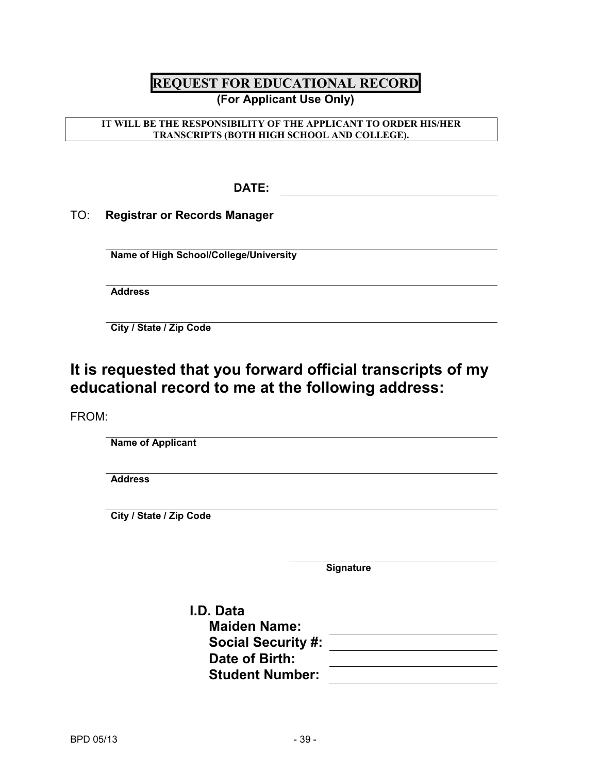#### **REQUEST FOR EDUCATIONAL RECORD (For Applicant Use Only)**

#### **IT WILL BE THE RESPONSIBILITY OF THE APPLICANT TO ORDER HIS/HER TRANSCRIPTS (BOTH HIGH SCHOOL AND COLLEGE).**

**DATE:** 

TO: **Registrar or Records Manager**

**Name of High School/College/University**

**Address**

**City / State / Zip Code** 

## **It is requested that you forward official transcripts of my educational record to me at the following address:**

FROM:

**Name of Applicant**

**Address**

**City / State / Zip Code**

**Signature**

**I.D. Data Maiden Name: Social Security #: Date of Birth: Student Number:**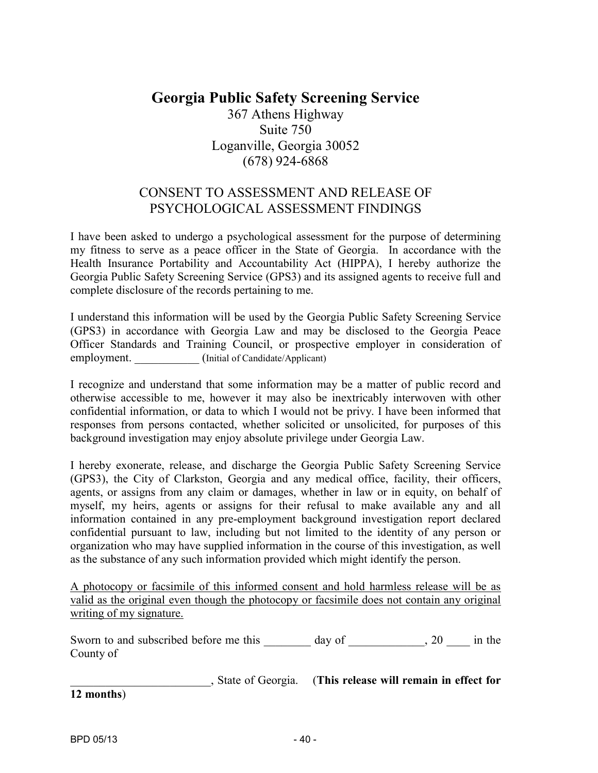#### **Georgia Public Safety Screening Service** 367 Athens Highway Suite 750 Loganville, Georgia 30052 (678) 924-6868

#### CONSENT TO ASSESSMENT AND RELEASE OF PSYCHOLOGICAL ASSESSMENT FINDINGS

I have been asked to undergo a psychological assessment for the purpose of determining my fitness to serve as a peace officer in the State of Georgia. In accordance with the Health Insurance Portability and Accountability Act (HIPPA), I hereby authorize the Georgia Public Safety Screening Service (GPS3) and its assigned agents to receive full and complete disclosure of the records pertaining to me.

I understand this information will be used by the Georgia Public Safety Screening Service (GPS3) in accordance with Georgia Law and may be disclosed to the Georgia Peace Officer Standards and Training Council, or prospective employer in consideration of employment. \_\_\_\_\_\_\_\_\_\_\_ (Initial of Candidate/Applicant)

I recognize and understand that some information may be a matter of public record and otherwise accessible to me, however it may also be inextricably interwoven with other confidential information, or data to which I would not be privy. I have been informed that responses from persons contacted, whether solicited or unsolicited, for purposes of this background investigation may enjoy absolute privilege under Georgia Law.

I hereby exonerate, release, and discharge the Georgia Public Safety Screening Service (GPS3), the City of Clarkston, Georgia and any medical office, facility, their officers, agents, or assigns from any claim or damages, whether in law or in equity, on behalf of myself, my heirs, agents or assigns for their refusal to make available any and all information contained in any pre-employment background investigation report declared confidential pursuant to law, including but not limited to the identity of any person or organization who may have supplied information in the course of this investigation, as well as the substance of any such information provided which might identify the person.

A photocopy or facsimile of this informed consent and hold harmless release will be as valid as the original even though the photocopy or facsimile does not contain any original writing of my signature.

Sworn to and subscribed before me this \_\_\_\_\_\_\_ day of \_\_\_\_\_\_\_\_\_, 20 \_\_\_\_ in the County of

\_\_\_\_\_\_\_\_\_\_\_\_\_\_\_\_\_\_\_\_\_\_\_\_, State of Georgia. (**This release will remain in effect for 12 months**)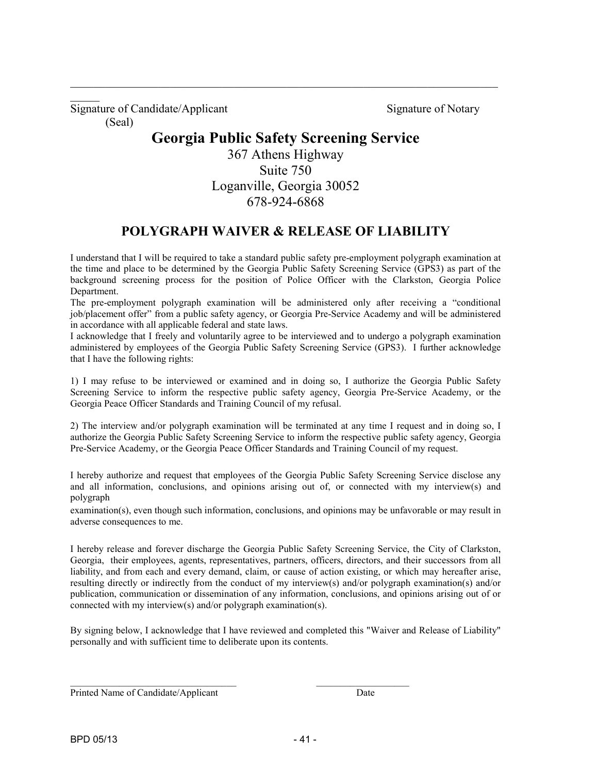Signature of Candidate/Applicant Signature of Notary (Seal)

 $\mathcal{L}$ 

#### **Georgia Public Safety Screening Service**

\_\_\_\_\_\_\_\_\_\_\_\_\_\_\_\_\_\_\_\_\_\_\_\_\_\_\_\_\_\_\_\_\_\_\_\_\_\_\_\_\_\_\_\_\_\_\_\_\_\_\_\_\_\_\_\_\_\_\_\_\_\_\_\_\_\_\_\_\_\_\_\_\_

367 Athens Highway Suite 750 Loganville, Georgia 30052 678-924-6868

#### **POLYGRAPH WAIVER & RELEASE OF LIABILITY**

I understand that I will be required to take a standard public safety pre-employment polygraph examination at the time and place to be determined by the Georgia Public Safety Screening Service (GPS3) as part of the background screening process for the position of Police Officer with the Clarkston, Georgia Police Department.

The pre-employment polygraph examination will be administered only after receiving a "conditional job/placement offer" from a public safety agency, or Georgia Pre-Service Academy and will be administered in accordance with all applicable federal and state laws.

I acknowledge that I freely and voluntarily agree to be interviewed and to undergo a polygraph examination administered by employees of the Georgia Public Safety Screening Service (GPS3). I further acknowledge that I have the following rights:

1) I may refuse to be interviewed or examined and in doing so, I authorize the Georgia Public Safety Screening Service to inform the respective public safety agency, Georgia Pre-Service Academy, or the Georgia Peace Officer Standards and Training Council of my refusal.

2) The interview and/or polygraph examination will be terminated at any time I request and in doing so, I authorize the Georgia Public Safety Screening Service to inform the respective public safety agency, Georgia Pre-Service Academy, or the Georgia Peace Officer Standards and Training Council of my request.

I hereby authorize and request that employees of the Georgia Public Safety Screening Service disclose any and all information, conclusions, and opinions arising out of, or connected with my interview(s) and polygraph

examination(s), even though such information, conclusions, and opinions may be unfavorable or may result in adverse consequences to me.

I hereby release and forever discharge the Georgia Public Safety Screening Service, the City of Clarkston, Georgia, their employees, agents, representatives, partners, officers, directors, and their successors from all liability, and from each and every demand, claim, or cause of action existing, or which may hereafter arise, resulting directly or indirectly from the conduct of my interview(s) and/or polygraph examination(s) and/or publication, communication or dissemination of any information, conclusions, and opinions arising out of or connected with my interview(s) and/or polygraph examination(s).

By signing below, I acknowledge that I have reviewed and completed this "Waiver and Release of Liability" personally and with sufficient time to deliberate upon its contents.

\_\_\_\_\_\_\_\_\_\_\_\_\_\_\_\_\_\_\_\_\_\_\_\_\_\_\_\_\_\_\_\_\_\_ \_\_\_\_\_\_\_\_\_\_\_\_\_\_\_\_\_\_\_

Printed Name of Candidate/Applicant Date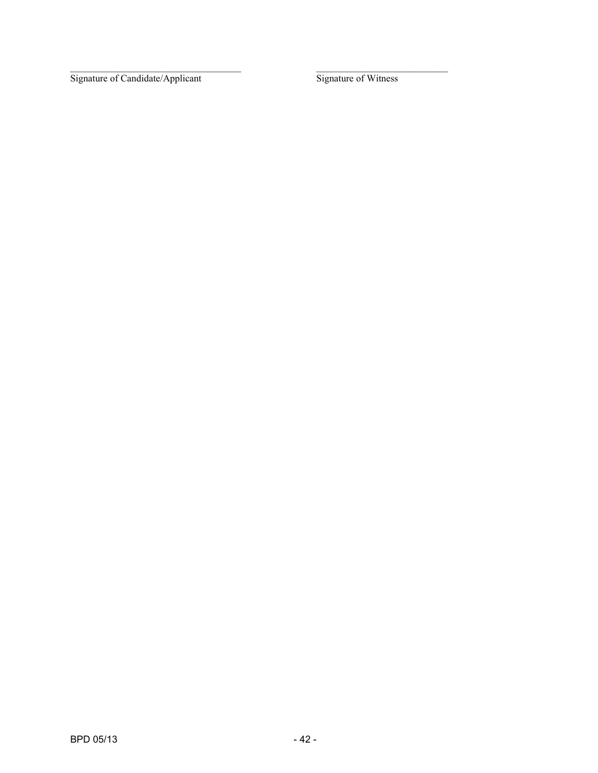\_\_\_\_\_\_\_\_\_\_\_\_\_\_\_\_\_\_\_\_\_\_\_\_\_\_\_\_\_\_\_\_\_\_\_ \_\_\_\_\_\_\_\_\_\_\_\_\_\_\_\_\_\_\_\_\_\_\_\_\_\_\_ Signature of Candidate/Applicant Signature of Witness